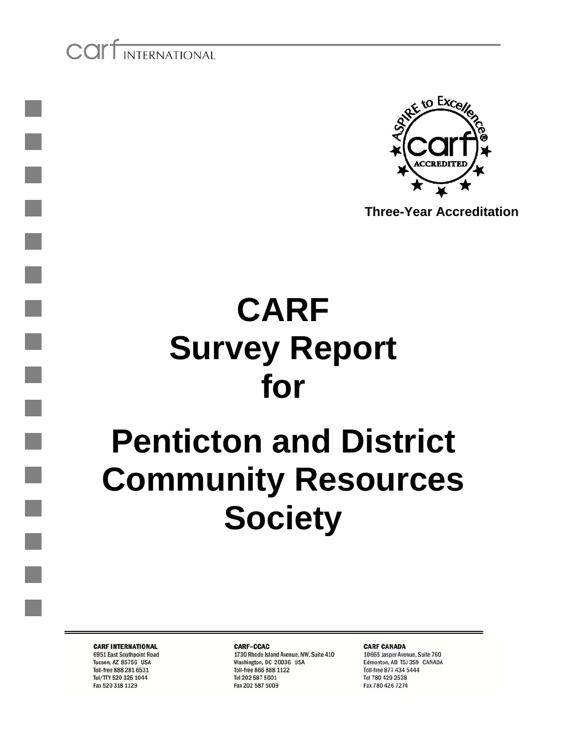COIT INTERNATIONAL



**Three-Year Accreditation**

# **CARF Survey Report for**

# **Penticton and District Community Resources Society**

**CARF INTERNATIONAL** 

6951 East Southpoint Road Tucson, AZ 85756 USA Toll-free 888 281 6531 Tel/TTY 520 325 1044 Fax 520 318 1129

CARE-CCAC

1730 Rhode Island Avenue, NW, Suite 410 Washington, DC 20036 USA Toll-free 866 888 1122 Tel 202 587 5001 Fax 202 587 5009

**CARF CANADA** 

10665 Jasper Avenue, Suite 760 Edmonton, AB T5J 3S9 CANADA Toll-free 877 434 5444 Tel 780 429 2538 Fax 780 426 7274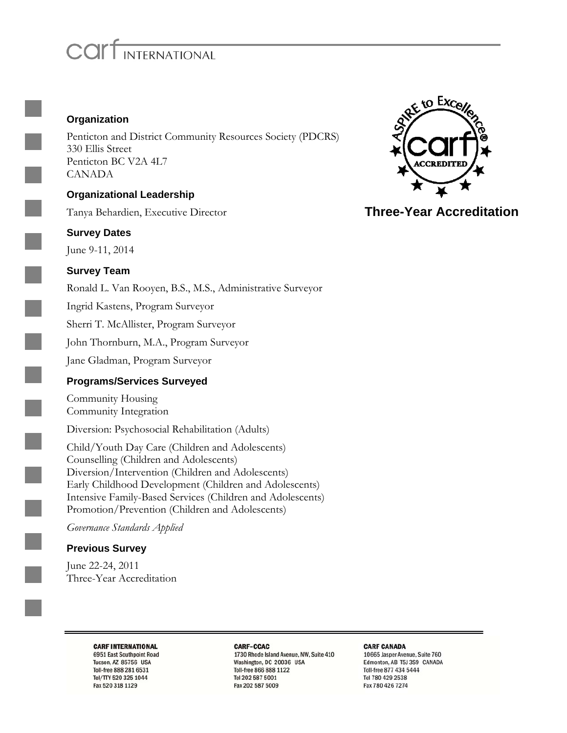# COIT INTERNATIONAL

#### **Organization**

Penticton and District Community Resources Society (PDCRS) 330 Ellis Street Penticton BC V2A 4L7 CANADA

#### **Organizational Leadership**

Tanya Behardien, Executive Director

#### **Survey Dates**

June 9-11, 2014

#### **Survey Team**

Ronald L. Van Rooyen, B.S., M.S., Administrative Surveyor

Ingrid Kastens, Program Surveyor

Sherri T. McAllister, Program Surveyor

John Thornburn, M.A., Program Surveyor

Jane Gladman, Program Surveyor

#### **Programs/Services Surveyed**

Community Housing Community Integration

Diversion: Psychosocial Rehabilitation (Adults)

Child/Youth Day Care (Children and Adolescents) Counselling (Children and Adolescents) Diversion/Intervention (Children and Adolescents) Early Childhood Development (Children and Adolescents) Intensive Family-Based Services (Children and Adolescents) Promotion/Prevention (Children and Adolescents)

*Governance Standards Applied* 

#### **Previous Survey**

June 22-24, 2011 Three-Year Accreditation

**CARF INTERNATIONAL** 

6951 East Southpoint Road

Tucson, AZ 85756 USA

Toll-free 888 281 6531

Tel/TTY 520 325 1044

Fax 520 318 1129

#### CARE-CCAC

1730 Rhode Island Avenue, NW, Suite 410 Washington, DC 20036 USA Toll-free 866 888 1122 Tel 202 587 5001 Fax 202 587 5009

**CARF CANADA** 

10665 Jasper Avenue, Suite 760 Edmonton, AB T5J 3S9 CANADA Toll-free 877 434 5444 Tel 780 429 2538 Fax 780 426 7274



**Three-Year Accreditation**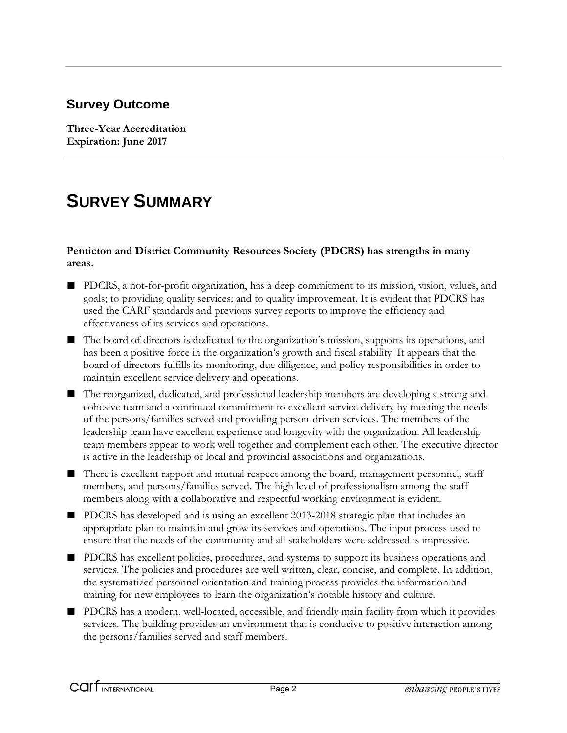### **Survey Outcome**

**Three-Year Accreditation Expiration: June 2017** 

## **SURVEY SUMMARY**

#### **Penticton and District Community Resources Society (PDCRS) has strengths in many areas.**

- PDCRS, a not-for-profit organization, has a deep commitment to its mission, vision, values, and goals; to providing quality services; and to quality improvement. It is evident that PDCRS has used the CARF standards and previous survey reports to improve the efficiency and effectiveness of its services and operations.
- The board of directors is dedicated to the organization's mission, supports its operations, and has been a positive force in the organization's growth and fiscal stability. It appears that the board of directors fulfills its monitoring, due diligence, and policy responsibilities in order to maintain excellent service delivery and operations.
- The reorganized, dedicated, and professional leadership members are developing a strong and cohesive team and a continued commitment to excellent service delivery by meeting the needs of the persons/families served and providing person-driven services. The members of the leadership team have excellent experience and longevity with the organization. All leadership team members appear to work well together and complement each other. The executive director is active in the leadership of local and provincial associations and organizations.
- There is excellent rapport and mutual respect among the board, management personnel, staff members, and persons/families served. The high level of professionalism among the staff members along with a collaborative and respectful working environment is evident.
- PDCRS has developed and is using an excellent 2013-2018 strategic plan that includes an appropriate plan to maintain and grow its services and operations. The input process used to ensure that the needs of the community and all stakeholders were addressed is impressive.
- PDCRS has excellent policies, procedures, and systems to support its business operations and services. The policies and procedures are well written, clear, concise, and complete. In addition, the systematized personnel orientation and training process provides the information and training for new employees to learn the organization's notable history and culture.
- PDCRS has a modern, well-located, accessible, and friendly main facility from which it provides services. The building provides an environment that is conducive to positive interaction among the persons/families served and staff members.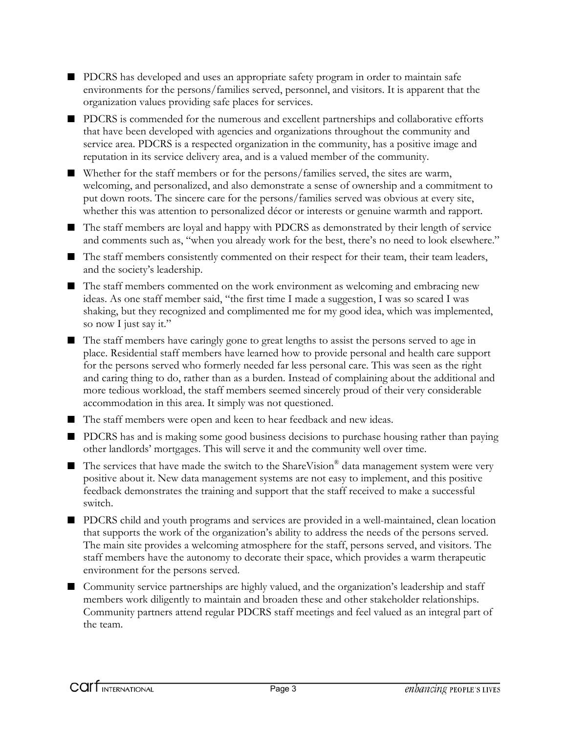- PDCRS has developed and uses an appropriate safety program in order to maintain safe environments for the persons/families served, personnel, and visitors. It is apparent that the organization values providing safe places for services.
- PDCRS is commended for the numerous and excellent partnerships and collaborative efforts that have been developed with agencies and organizations throughout the community and service area. PDCRS is a respected organization in the community, has a positive image and reputation in its service delivery area, and is a valued member of the community.
- Whether for the staff members or for the persons/families served, the sites are warm, welcoming, and personalized, and also demonstrate a sense of ownership and a commitment to put down roots. The sincere care for the persons/families served was obvious at every site, whether this was attention to personalized décor or interests or genuine warmth and rapport.
- The staff members are loyal and happy with PDCRS as demonstrated by their length of service and comments such as, "when you already work for the best, there's no need to look elsewhere."
- The staff members consistently commented on their respect for their team, their team leaders, and the society's leadership.
- The staff members commented on the work environment as welcoming and embracing new ideas. As one staff member said, "the first time I made a suggestion, I was so scared I was shaking, but they recognized and complimented me for my good idea, which was implemented, so now I just say it."
- The staff members have caringly gone to great lengths to assist the persons served to age in place. Residential staff members have learned how to provide personal and health care support for the persons served who formerly needed far less personal care. This was seen as the right and caring thing to do, rather than as a burden. Instead of complaining about the additional and more tedious workload, the staff members seemed sincerely proud of their very considerable accommodation in this area. It simply was not questioned.
- The staff members were open and keen to hear feedback and new ideas.
- PDCRS has and is making some good business decisions to purchase housing rather than paying other landlords' mortgages. This will serve it and the community well over time.
- $\blacksquare$  The services that have made the switch to the ShareVision<sup>®</sup> data management system were very positive about it. New data management systems are not easy to implement, and this positive feedback demonstrates the training and support that the staff received to make a successful switch.
- PDCRS child and youth programs and services are provided in a well-maintained, clean location that supports the work of the organization's ability to address the needs of the persons served. The main site provides a welcoming atmosphere for the staff, persons served, and visitors. The staff members have the autonomy to decorate their space, which provides a warm therapeutic environment for the persons served.
- Community service partnerships are highly valued, and the organization's leadership and staff members work diligently to maintain and broaden these and other stakeholder relationships. Community partners attend regular PDCRS staff meetings and feel valued as an integral part of the team.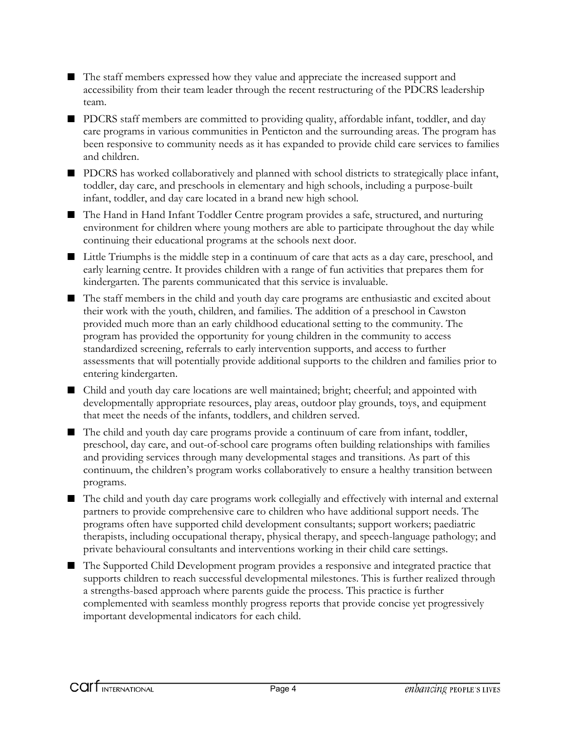- The staff members expressed how they value and appreciate the increased support and accessibility from their team leader through the recent restructuring of the PDCRS leadership team.
- PDCRS staff members are committed to providing quality, affordable infant, toddler, and day care programs in various communities in Penticton and the surrounding areas. The program has been responsive to community needs as it has expanded to provide child care services to families and children.
- PDCRS has worked collaboratively and planned with school districts to strategically place infant, toddler, day care, and preschools in elementary and high schools, including a purpose-built infant, toddler, and day care located in a brand new high school.
- The Hand in Hand Infant Toddler Centre program provides a safe, structured, and nurturing environment for children where young mothers are able to participate throughout the day while continuing their educational programs at the schools next door.
- Little Triumphs is the middle step in a continuum of care that acts as a day care, preschool, and early learning centre. It provides children with a range of fun activities that prepares them for kindergarten. The parents communicated that this service is invaluable.
- The staff members in the child and youth day care programs are enthusiastic and excited about their work with the youth, children, and families. The addition of a preschool in Cawston provided much more than an early childhood educational setting to the community. The program has provided the opportunity for young children in the community to access standardized screening, referrals to early intervention supports, and access to further assessments that will potentially provide additional supports to the children and families prior to entering kindergarten.
- Child and youth day care locations are well maintained; bright; cheerful; and appointed with developmentally appropriate resources, play areas, outdoor play grounds, toys, and equipment that meet the needs of the infants, toddlers, and children served.
- The child and youth day care programs provide a continuum of care from infant, toddler, preschool, day care, and out-of-school care programs often building relationships with families and providing services through many developmental stages and transitions. As part of this continuum, the children's program works collaboratively to ensure a healthy transition between programs.
- The child and youth day care programs work collegially and effectively with internal and external partners to provide comprehensive care to children who have additional support needs. The programs often have supported child development consultants; support workers; paediatric therapists, including occupational therapy, physical therapy, and speech-language pathology; and private behavioural consultants and interventions working in their child care settings.
- The Supported Child Development program provides a responsive and integrated practice that supports children to reach successful developmental milestones. This is further realized through a strengths-based approach where parents guide the process. This practice is further complemented with seamless monthly progress reports that provide concise yet progressively important developmental indicators for each child.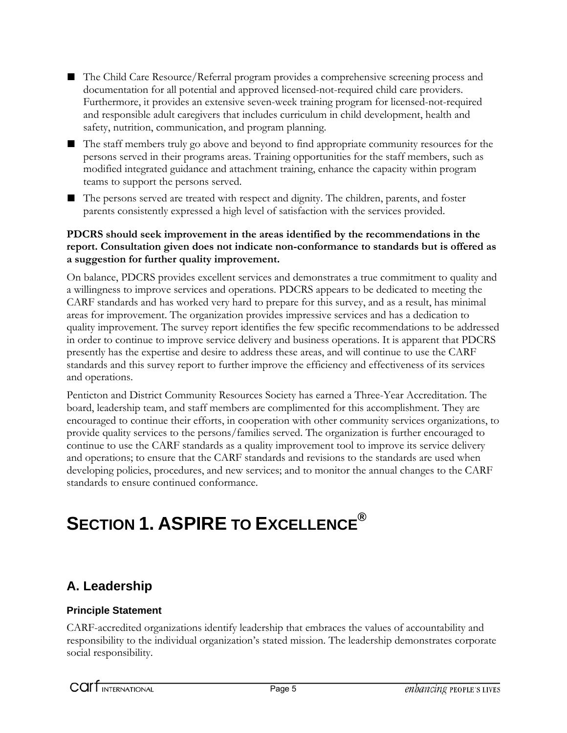- The Child Care Resource/Referral program provides a comprehensive screening process and documentation for all potential and approved licensed-not-required child care providers. Furthermore, it provides an extensive seven-week training program for licensed-not-required and responsible adult caregivers that includes curriculum in child development, health and safety, nutrition, communication, and program planning.
- The staff members truly go above and beyond to find appropriate community resources for the persons served in their programs areas. Training opportunities for the staff members, such as modified integrated guidance and attachment training, enhance the capacity within program teams to support the persons served.
- The persons served are treated with respect and dignity. The children, parents, and foster parents consistently expressed a high level of satisfaction with the services provided.

#### **PDCRS should seek improvement in the areas identified by the recommendations in the report. Consultation given does not indicate non-conformance to standards but is offered as a suggestion for further quality improvement.**

On balance, PDCRS provides excellent services and demonstrates a true commitment to quality and a willingness to improve services and operations. PDCRS appears to be dedicated to meeting the CARF standards and has worked very hard to prepare for this survey, and as a result, has minimal areas for improvement. The organization provides impressive services and has a dedication to quality improvement. The survey report identifies the few specific recommendations to be addressed in order to continue to improve service delivery and business operations. It is apparent that PDCRS presently has the expertise and desire to address these areas, and will continue to use the CARF standards and this survey report to further improve the efficiency and effectiveness of its services and operations.

Penticton and District Community Resources Society has earned a Three-Year Accreditation. The board, leadership team, and staff members are complimented for this accomplishment. They are encouraged to continue their efforts, in cooperation with other community services organizations, to provide quality services to the persons/families served. The organization is further encouraged to continue to use the CARF standards as a quality improvement tool to improve its service delivery and operations; to ensure that the CARF standards and revisions to the standards are used when developing policies, procedures, and new services; and to monitor the annual changes to the CARF standards to ensure continued conformance.

# **SECTION 1. ASPIRE TO EXCELLENCE®**

## **A. Leadership**

#### **Principle Statement**

CARF-accredited organizations identify leadership that embraces the values of accountability and responsibility to the individual organization's stated mission. The leadership demonstrates corporate social responsibility.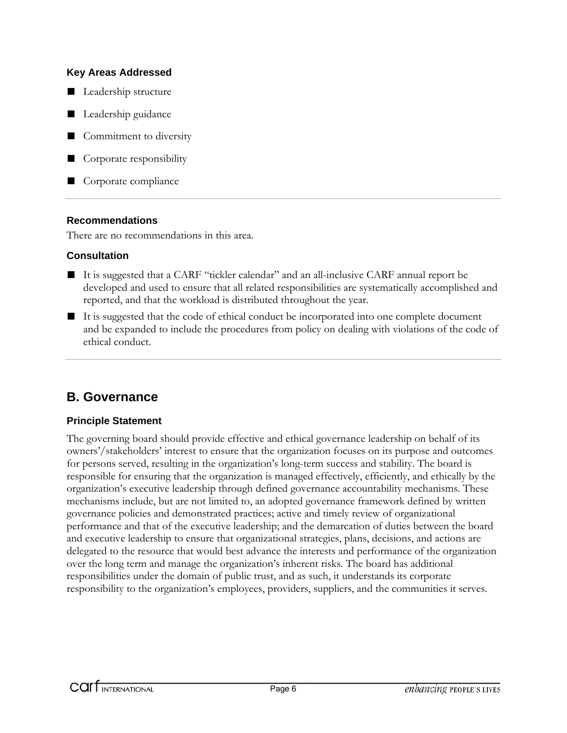#### **Key Areas Addressed**

- Leadership structure
- Leadership guidance
- Commitment to diversity
- Corporate responsibility
- Corporate compliance

#### **Recommendations**

There are no recommendations in this area.

#### **Consultation**

- It is suggested that a CARF "tickler calendar" and an all-inclusive CARF annual report be developed and used to ensure that all related responsibilities are systematically accomplished and reported, and that the workload is distributed throughout the year.
- It is suggested that the code of ethical conduct be incorporated into one complete document and be expanded to include the procedures from policy on dealing with violations of the code of ethical conduct.

## **B. Governance**

#### **Principle Statement**

The governing board should provide effective and ethical governance leadership on behalf of its owners'/stakeholders' interest to ensure that the organization focuses on its purpose and outcomes for persons served, resulting in the organization's long-term success and stability. The board is responsible for ensuring that the organization is managed effectively, efficiently, and ethically by the organization's executive leadership through defined governance accountability mechanisms. These mechanisms include, but are not limited to, an adopted governance framework defined by written governance policies and demonstrated practices; active and timely review of organizational performance and that of the executive leadership; and the demarcation of duties between the board and executive leadership to ensure that organizational strategies, plans, decisions, and actions are delegated to the resource that would best advance the interests and performance of the organization over the long term and manage the organization's inherent risks. The board has additional responsibilities under the domain of public trust, and as such, it understands its corporate responsibility to the organization's employees, providers, suppliers, and the communities it serves.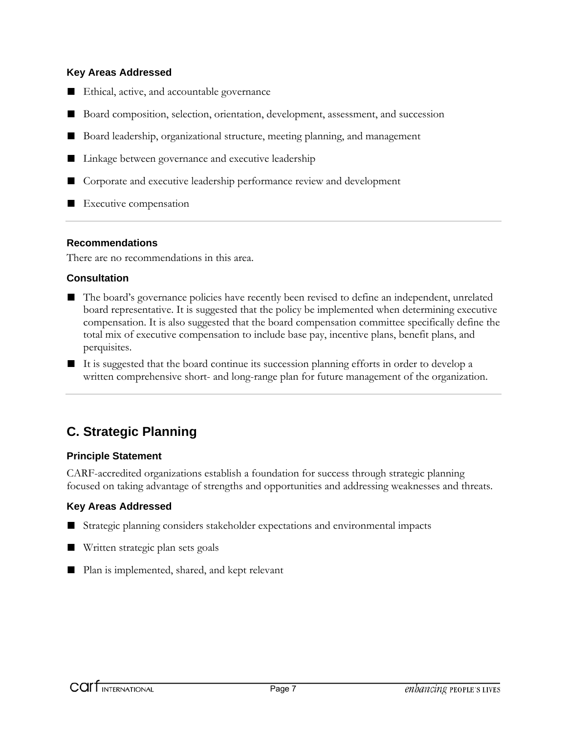#### **Key Areas Addressed**

- Ethical, active, and accountable governance
- Board composition, selection, orientation, development, assessment, and succession
- Board leadership, organizational structure, meeting planning, and management
- Linkage between governance and executive leadership
- Corporate and executive leadership performance review and development
- Executive compensation

#### **Recommendations**

There are no recommendations in this area.

#### **Consultation**

- The board's governance policies have recently been revised to define an independent, unrelated board representative. It is suggested that the policy be implemented when determining executive compensation. It is also suggested that the board compensation committee specifically define the total mix of executive compensation to include base pay, incentive plans, benefit plans, and perquisites.
- It is suggested that the board continue its succession planning efforts in order to develop a written comprehensive short- and long-range plan for future management of the organization.

## **C. Strategic Planning**

#### **Principle Statement**

CARF-accredited organizations establish a foundation for success through strategic planning focused on taking advantage of strengths and opportunities and addressing weaknesses and threats.

#### **Key Areas Addressed**

- Strategic planning considers stakeholder expectations and environmental impacts
- Written strategic plan sets goals
- Plan is implemented, shared, and kept relevant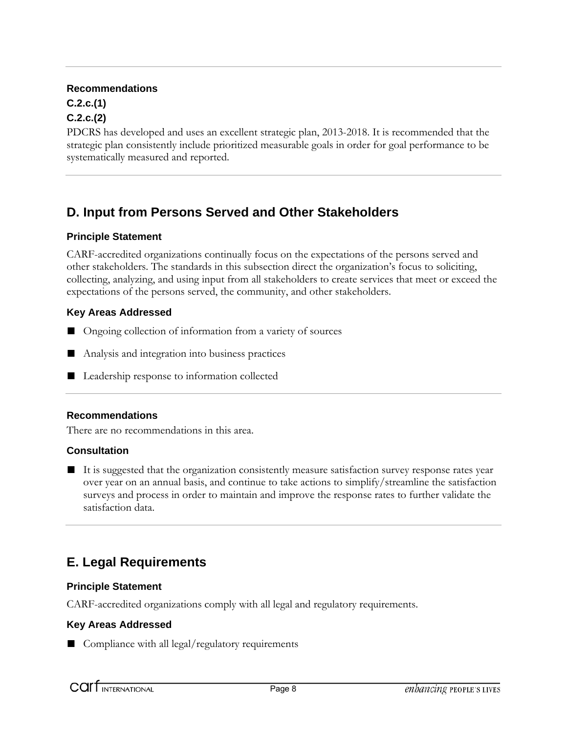## **C.2.c.(1)**

#### **C.2.c.(2)**

PDCRS has developed and uses an excellent strategic plan, 2013-2018. It is recommended that the strategic plan consistently include prioritized measurable goals in order for goal performance to be systematically measured and reported.

## **D. Input from Persons Served and Other Stakeholders**

#### **Principle Statement**

CARF-accredited organizations continually focus on the expectations of the persons served and other stakeholders. The standards in this subsection direct the organization's focus to soliciting, collecting, analyzing, and using input from all stakeholders to create services that meet or exceed the expectations of the persons served, the community, and other stakeholders.

#### **Key Areas Addressed**

- Ongoing collection of information from a variety of sources
- Analysis and integration into business practices
- Leadership response to information collected

#### **Recommendations**

There are no recommendations in this area.

#### **Consultation**

■ It is suggested that the organization consistently measure satisfaction survey response rates year over year on an annual basis, and continue to take actions to simplify/streamline the satisfaction surveys and process in order to maintain and improve the response rates to further validate the satisfaction data.

## **E. Legal Requirements**

#### **Principle Statement**

CARF-accredited organizations comply with all legal and regulatory requirements.

#### **Key Areas Addressed**

■ Compliance with all legal/regulatory requirements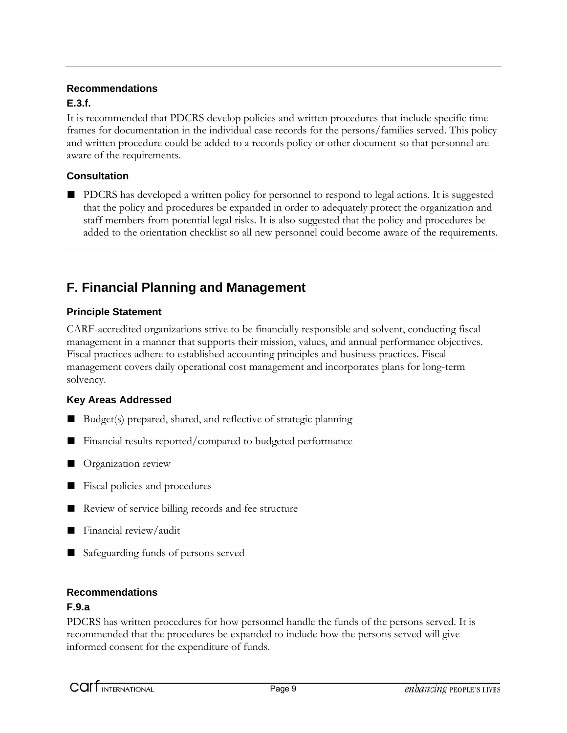#### **E.3.f.**

It is recommended that PDCRS develop policies and written procedures that include specific time frames for documentation in the individual case records for the persons/families served. This policy and written procedure could be added to a records policy or other document so that personnel are aware of the requirements.

#### **Consultation**

■ PDCRS has developed a written policy for personnel to respond to legal actions. It is suggested that the policy and procedures be expanded in order to adequately protect the organization and staff members from potential legal risks. It is also suggested that the policy and procedures be added to the orientation checklist so all new personnel could become aware of the requirements.

## **F. Financial Planning and Management**

#### **Principle Statement**

CARF-accredited organizations strive to be financially responsible and solvent, conducting fiscal management in a manner that supports their mission, values, and annual performance objectives. Fiscal practices adhere to established accounting principles and business practices. Fiscal management covers daily operational cost management and incorporates plans for long-term solvency.

#### **Key Areas Addressed**

- Budget(s) prepared, shared, and reflective of strategic planning
- Financial results reported/compared to budgeted performance
- Organization review
- Fiscal policies and procedures
- Review of service billing records and fee structure
- Financial review/audit
- Safeguarding funds of persons served

#### **Recommendations**

#### **F.9.a**

PDCRS has written procedures for how personnel handle the funds of the persons served. It is recommended that the procedures be expanded to include how the persons served will give informed consent for the expenditure of funds.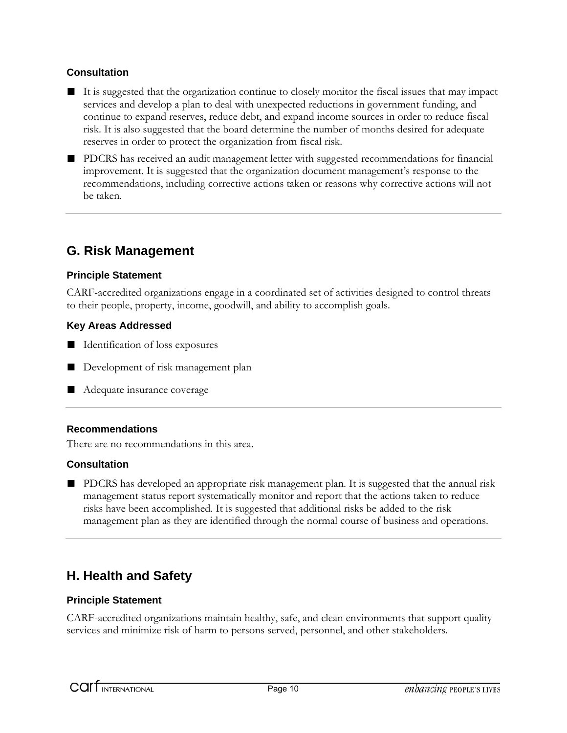#### **Consultation**

- It is suggested that the organization continue to closely monitor the fiscal issues that may impact services and develop a plan to deal with unexpected reductions in government funding, and continue to expand reserves, reduce debt, and expand income sources in order to reduce fiscal risk. It is also suggested that the board determine the number of months desired for adequate reserves in order to protect the organization from fiscal risk.
- PDCRS has received an audit management letter with suggested recommendations for financial improvement. It is suggested that the organization document management's response to the recommendations, including corrective actions taken or reasons why corrective actions will not be taken.

## **G. Risk Management**

#### **Principle Statement**

CARF-accredited organizations engage in a coordinated set of activities designed to control threats to their people, property, income, goodwill, and ability to accomplish goals.

#### **Key Areas Addressed**

- Identification of loss exposures
- Development of risk management plan
- Adequate insurance coverage

#### **Recommendations**

There are no recommendations in this area.

#### **Consultation**

■ PDCRS has developed an appropriate risk management plan. It is suggested that the annual risk management status report systematically monitor and report that the actions taken to reduce risks have been accomplished. It is suggested that additional risks be added to the risk management plan as they are identified through the normal course of business and operations.

## **H. Health and Safety**

#### **Principle Statement**

CARF-accredited organizations maintain healthy, safe, and clean environments that support quality services and minimize risk of harm to persons served, personnel, and other stakeholders.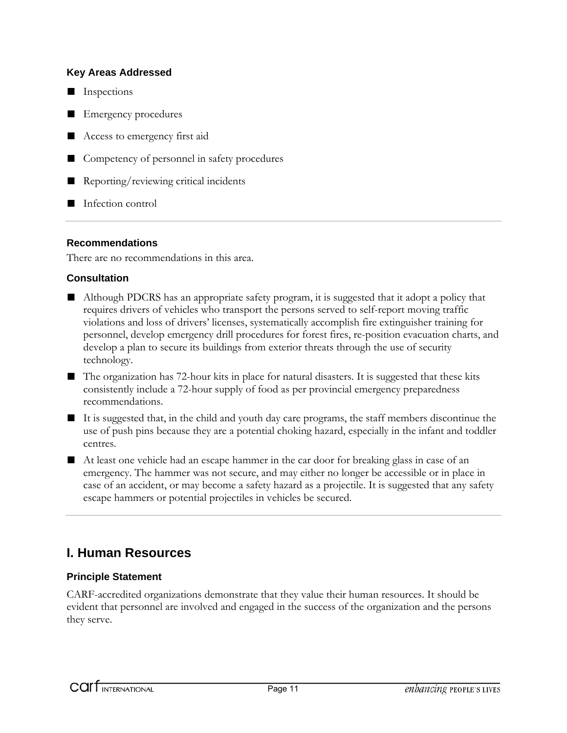#### **Key Areas Addressed**

- Inspections
- Emergency procedures
- Access to emergency first aid
- Competency of personnel in safety procedures
- Reporting/reviewing critical incidents
- Infection control

#### **Recommendations**

There are no recommendations in this area.

#### **Consultation**

- Although PDCRS has an appropriate safety program, it is suggested that it adopt a policy that requires drivers of vehicles who transport the persons served to self-report moving traffic violations and loss of drivers' licenses, systematically accomplish fire extinguisher training for personnel, develop emergency drill procedures for forest fires, re-position evacuation charts, and develop a plan to secure its buildings from exterior threats through the use of security technology.
- The organization has 72-hour kits in place for natural disasters. It is suggested that these kits consistently include a 72-hour supply of food as per provincial emergency preparedness recommendations.
- It is suggested that, in the child and youth day care programs, the staff members discontinue the use of push pins because they are a potential choking hazard, especially in the infant and toddler centres.
- At least one vehicle had an escape hammer in the car door for breaking glass in case of an emergency. The hammer was not secure, and may either no longer be accessible or in place in case of an accident, or may become a safety hazard as a projectile. It is suggested that any safety escape hammers or potential projectiles in vehicles be secured.

## **I. Human Resources**

#### **Principle Statement**

CARF-accredited organizations demonstrate that they value their human resources. It should be evident that personnel are involved and engaged in the success of the organization and the persons they serve.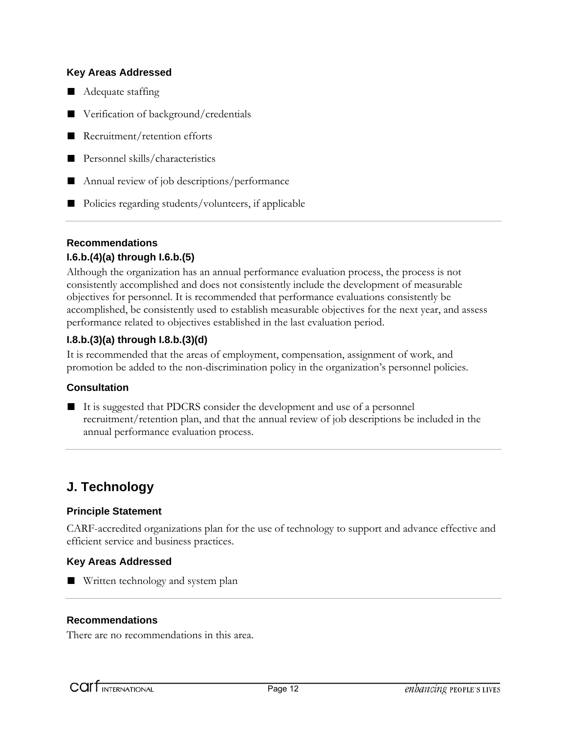#### **Key Areas Addressed**

- Adequate staffing
- Verification of background/credentials
- Recruitment/retention efforts
- Personnel skills/characteristics
- Annual review of job descriptions/performance
- Policies regarding students/volunteers, if applicable

#### **Recommendations**

#### **I.6.b.(4)(a) through I.6.b.(5)**

Although the organization has an annual performance evaluation process, the process is not consistently accomplished and does not consistently include the development of measurable objectives for personnel. It is recommended that performance evaluations consistently be accomplished, be consistently used to establish measurable objectives for the next year, and assess performance related to objectives established in the last evaluation period.

#### **I.8.b.(3)(a) through I.8.b.(3)(d)**

It is recommended that the areas of employment, compensation, assignment of work, and promotion be added to the non-discrimination policy in the organization's personnel policies.

#### **Consultation**

- 
- It is suggested that PDCRS consider the development and use of a personnel recruitment/retention plan, and that the annual review of job descriptions be included in the annual performance evaluation process.

## **J. Technology**

#### **Principle Statement**

CARF-accredited organizations plan for the use of technology to support and advance effective and efficient service and business practices.

#### **Key Areas Addressed**

■ Written technology and system plan

#### **Recommendations**

There are no recommendations in this area.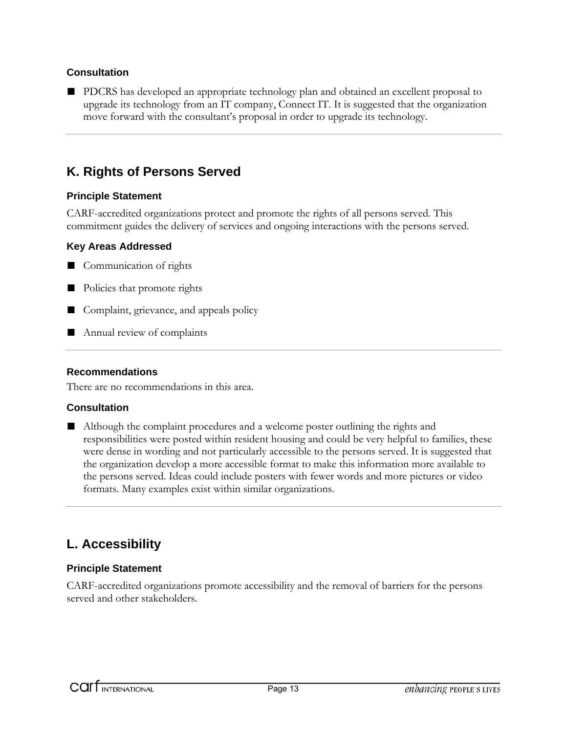#### **Consultation**

■ PDCRS has developed an appropriate technology plan and obtained an excellent proposal to upgrade its technology from an IT company, Connect IT. It is suggested that the organization move forward with the consultant's proposal in order to upgrade its technology.

## **K. Rights of Persons Served**

#### **Principle Statement**

CARF-accredited organizations protect and promote the rights of all persons served. This commitment guides the delivery of services and ongoing interactions with the persons served.

#### **Key Areas Addressed**

- Communication of rights
- Policies that promote rights
- Complaint, grievance, and appeals policy
- Annual review of complaints

#### **Recommendations**

There are no recommendations in this area.

#### **Consultation**

■ Although the complaint procedures and a welcome poster outlining the rights and responsibilities were posted within resident housing and could be very helpful to families, these were dense in wording and not particularly accessible to the persons served. It is suggested that the organization develop a more accessible format to make this information more available to the persons served. Ideas could include posters with fewer words and more pictures or video formats. Many examples exist within similar organizations.

## **L. Accessibility**

#### **Principle Statement**

CARF-accredited organizations promote accessibility and the removal of barriers for the persons served and other stakeholders.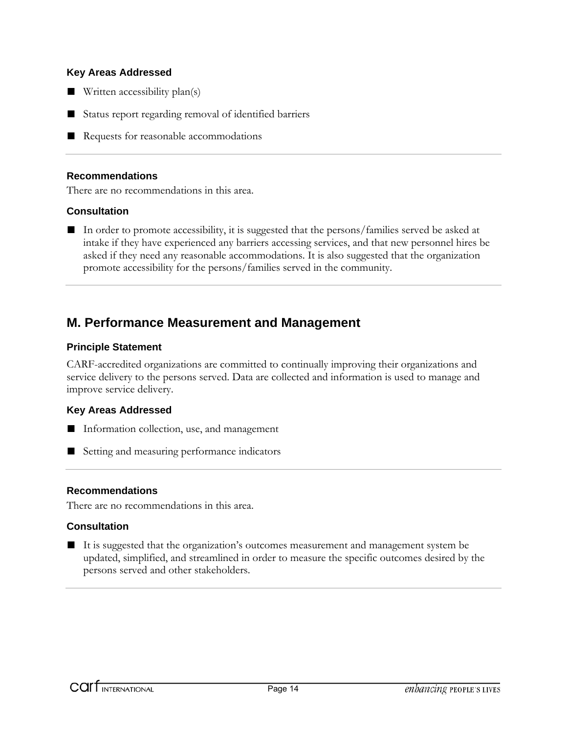#### **Key Areas Addressed**

- Written accessibility plan(s)
- Status report regarding removal of identified barriers
- Requests for reasonable accommodations

#### **Recommendations**

There are no recommendations in this area.

#### **Consultation**

■ In order to promote accessibility, it is suggested that the persons/families served be asked at intake if they have experienced any barriers accessing services, and that new personnel hires be asked if they need any reasonable accommodations. It is also suggested that the organization promote accessibility for the persons/families served in the community.

#### **M. Performance Measurement and Management**

#### **Principle Statement**

CARF-accredited organizations are committed to continually improving their organizations and service delivery to the persons served. Data are collected and information is used to manage and improve service delivery.

#### **Key Areas Addressed**

- Information collection, use, and management
- Setting and measuring performance indicators

#### **Recommendations**

There are no recommendations in this area.

#### **Consultation**

■ It is suggested that the organization's outcomes measurement and management system be updated, simplified, and streamlined in order to measure the specific outcomes desired by the persons served and other stakeholders.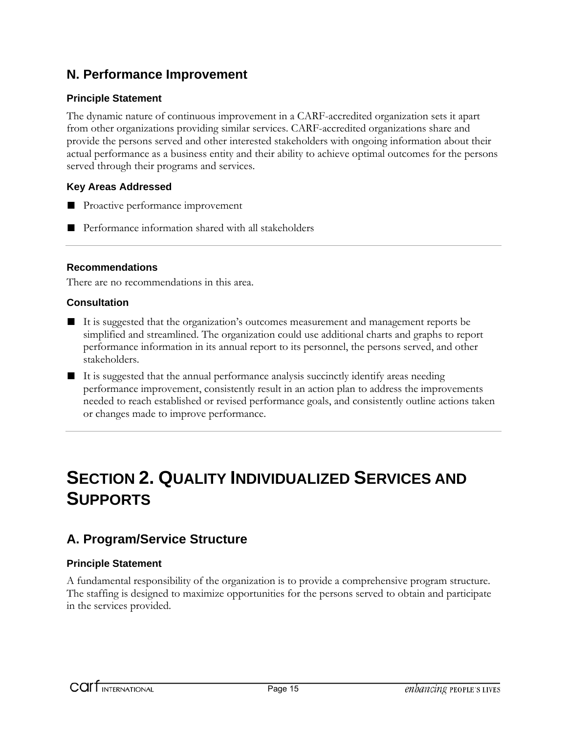## **N. Performance Improvement**

#### **Principle Statement**

The dynamic nature of continuous improvement in a CARF-accredited organization sets it apart from other organizations providing similar services. CARF-accredited organizations share and provide the persons served and other interested stakeholders with ongoing information about their actual performance as a business entity and their ability to achieve optimal outcomes for the persons served through their programs and services.

#### **Key Areas Addressed**

- Proactive performance improvement
- Performance information shared with all stakeholders

#### **Recommendations**

There are no recommendations in this area.

#### **Consultation**

- It is suggested that the organization's outcomes measurement and management reports be simplified and streamlined. The organization could use additional charts and graphs to report performance information in its annual report to its personnel, the persons served, and other stakeholders.
- It is suggested that the annual performance analysis succinctly identify areas needing performance improvement, consistently result in an action plan to address the improvements needed to reach established or revised performance goals, and consistently outline actions taken or changes made to improve performance.

# **SECTION 2. QUALITY INDIVIDUALIZED SERVICES AND SUPPORTS**

## **A. Program/Service Structure**

#### **Principle Statement**

A fundamental responsibility of the organization is to provide a comprehensive program structure. The staffing is designed to maximize opportunities for the persons served to obtain and participate in the services provided.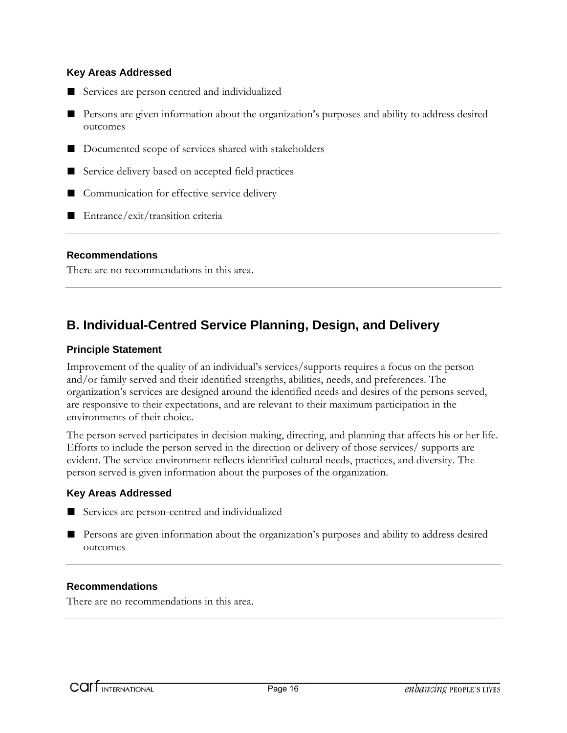#### **Key Areas Addressed**

- Services are person centred and individualized
- Persons are given information about the organization's purposes and ability to address desired outcomes
- Documented scope of services shared with stakeholders
- Service delivery based on accepted field practices
- Communication for effective service delivery
- Entrance/exit/transition criteria

#### **Recommendations**

There are no recommendations in this area.

## **B. Individual-Centred Service Planning, Design, and Delivery**

#### **Principle Statement**

Improvement of the quality of an individual's services/supports requires a focus on the person and/or family served and their identified strengths, abilities, needs, and preferences. The organization's services are designed around the identified needs and desires of the persons served, are responsive to their expectations, and are relevant to their maximum participation in the environments of their choice.

The person served participates in decision making, directing, and planning that affects his or her life. Efforts to include the person served in the direction or delivery of those services/ supports are evident. The service environment reflects identified cultural needs, practices, and diversity. The person served is given information about the purposes of the organization.

#### **Key Areas Addressed**

- Services are person-centred and individualized
- Persons are given information about the organization's purposes and ability to address desired outcomes

#### **Recommendations**

There are no recommendations in this area.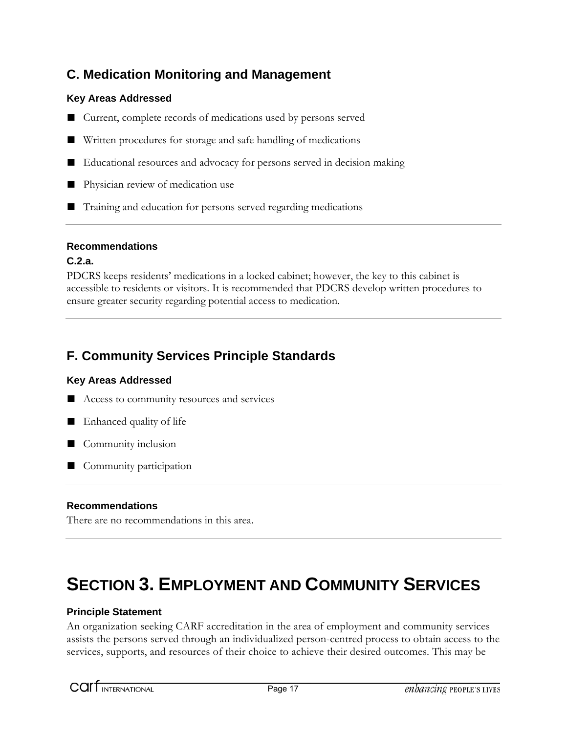## **C. Medication Monitoring and Management**

#### **Key Areas Addressed**

- Current, complete records of medications used by persons served
- Written procedures for storage and safe handling of medications
- Educational resources and advocacy for persons served in decision making
- Physician review of medication use
- Training and education for persons served regarding medications

#### **Recommendations**

#### **C.2.a.**

PDCRS keeps residents' medications in a locked cabinet; however, the key to this cabinet is accessible to residents or visitors. It is recommended that PDCRS develop written procedures to ensure greater security regarding potential access to medication.

## **F. Community Services Principle Standards**

#### **Key Areas Addressed**

- Access to community resources and services
- Enhanced quality of life
- Community inclusion
- Community participation

#### **Recommendations**

There are no recommendations in this area.

## **SECTION 3. EMPLOYMENT AND COMMUNITY SERVICES**

#### **Principle Statement**

An organization seeking CARF accreditation in the area of employment and community services assists the persons served through an individualized person-centred process to obtain access to the services, supports, and resources of their choice to achieve their desired outcomes. This may be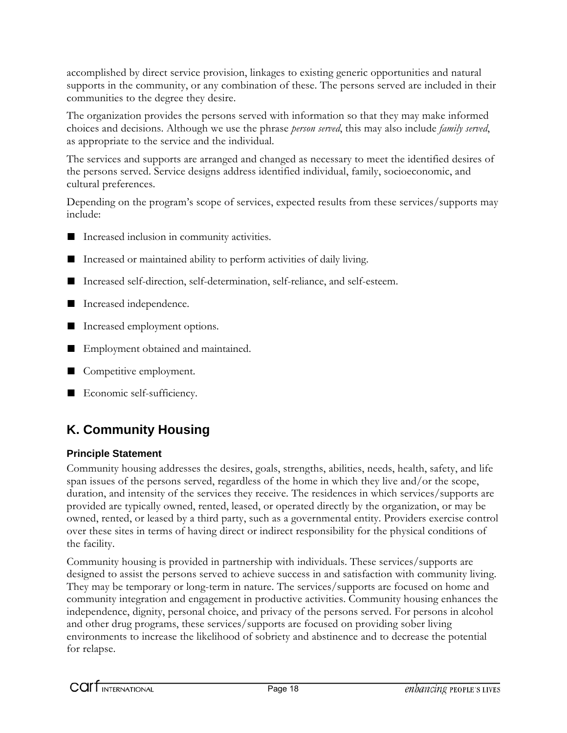accomplished by direct service provision, linkages to existing generic opportunities and natural supports in the community, or any combination of these. The persons served are included in their communities to the degree they desire.

The organization provides the persons served with information so that they may make informed choices and decisions. Although we use the phrase *person served*, this may also include *family served*, as appropriate to the service and the individual.

The services and supports are arranged and changed as necessary to meet the identified desires of the persons served. Service designs address identified individual, family, socioeconomic, and cultural preferences.

Depending on the program's scope of services, expected results from these services/supports may include:

- Increased inclusion in community activities.
- Increased or maintained ability to perform activities of daily living.
- Increased self-direction, self-determination, self-reliance, and self-esteem.
- Increased independence.
- Increased employment options.
- Employment obtained and maintained.
- Competitive employment.
- Economic self-sufficiency.

## **K. Community Housing**

#### **Principle Statement**

Community housing addresses the desires, goals, strengths, abilities, needs, health, safety, and life span issues of the persons served, regardless of the home in which they live and/or the scope, duration, and intensity of the services they receive. The residences in which services/supports are provided are typically owned, rented, leased, or operated directly by the organization, or may be owned, rented, or leased by a third party, such as a governmental entity. Providers exercise control over these sites in terms of having direct or indirect responsibility for the physical conditions of the facility.

Community housing is provided in partnership with individuals. These services/supports are designed to assist the persons served to achieve success in and satisfaction with community living. They may be temporary or long-term in nature. The services/supports are focused on home and community integration and engagement in productive activities. Community housing enhances the independence, dignity, personal choice, and privacy of the persons served. For persons in alcohol and other drug programs, these services/supports are focused on providing sober living environments to increase the likelihood of sobriety and abstinence and to decrease the potential for relapse.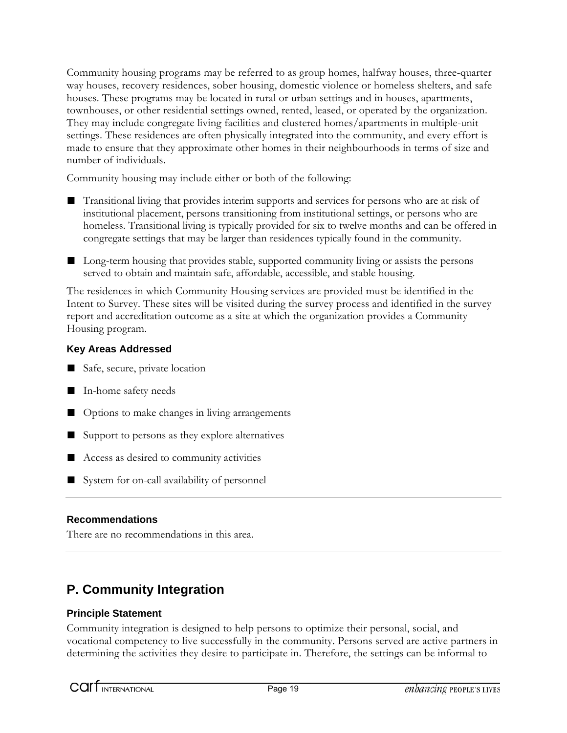Community housing programs may be referred to as group homes, halfway houses, three-quarter way houses, recovery residences, sober housing, domestic violence or homeless shelters, and safe houses. These programs may be located in rural or urban settings and in houses, apartments, townhouses, or other residential settings owned, rented, leased, or operated by the organization. They may include congregate living facilities and clustered homes/apartments in multiple-unit settings. These residences are often physically integrated into the community, and every effort is made to ensure that they approximate other homes in their neighbourhoods in terms of size and number of individuals.

Community housing may include either or both of the following:

- Transitional living that provides interim supports and services for persons who are at risk of institutional placement, persons transitioning from institutional settings, or persons who are homeless. Transitional living is typically provided for six to twelve months and can be offered in congregate settings that may be larger than residences typically found in the community.
- Long-term housing that provides stable, supported community living or assists the persons served to obtain and maintain safe, affordable, accessible, and stable housing.

The residences in which Community Housing services are provided must be identified in the Intent to Survey. These sites will be visited during the survey process and identified in the survey report and accreditation outcome as a site at which the organization provides a Community Housing program.

#### **Key Areas Addressed**

- Safe, secure, private location
- In-home safety needs
- Options to make changes in living arrangements
- Support to persons as they explore alternatives
- Access as desired to community activities
- System for on-call availability of personnel

#### **Recommendations**

There are no recommendations in this area.

## **P. Community Integration**

#### **Principle Statement**

Community integration is designed to help persons to optimize their personal, social, and vocational competency to live successfully in the community. Persons served are active partners in determining the activities they desire to participate in. Therefore, the settings can be informal to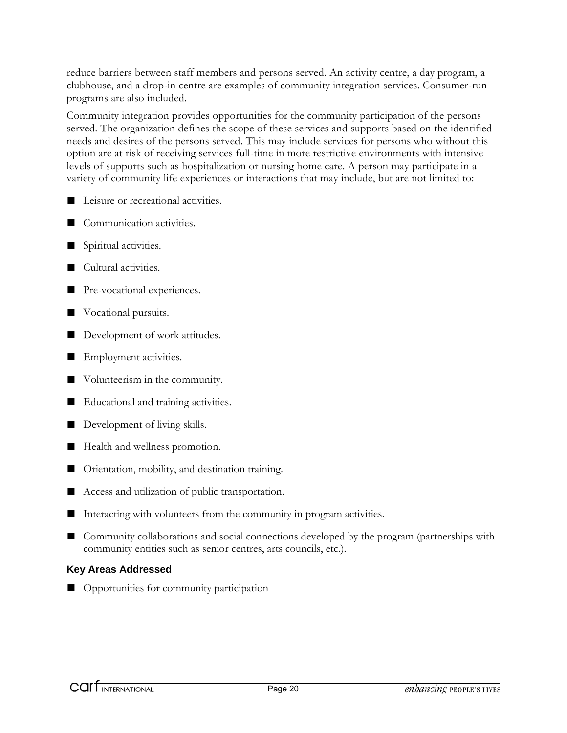reduce barriers between staff members and persons served. An activity centre, a day program, a clubhouse, and a drop-in centre are examples of community integration services. Consumer-run programs are also included.

Community integration provides opportunities for the community participation of the persons served. The organization defines the scope of these services and supports based on the identified needs and desires of the persons served. This may include services for persons who without this option are at risk of receiving services full-time in more restrictive environments with intensive levels of supports such as hospitalization or nursing home care. A person may participate in a variety of community life experiences or interactions that may include, but are not limited to:

- Leisure or recreational activities.
- Communication activities.
- Spiritual activities.
- Cultural activities.
- Pre-vocational experiences.
- Vocational pursuits.
- Development of work attitudes.
- Employment activities.
- Volunteerism in the community.
- Educational and training activities.
- Development of living skills.
- Health and wellness promotion.
- Orientation, mobility, and destination training.
- Access and utilization of public transportation.
- Interacting with volunteers from the community in program activities.
- Community collaborations and social connections developed by the program (partnerships with community entities such as senior centres, arts councils, etc.).

#### **Key Areas Addressed**

■ Opportunities for community participation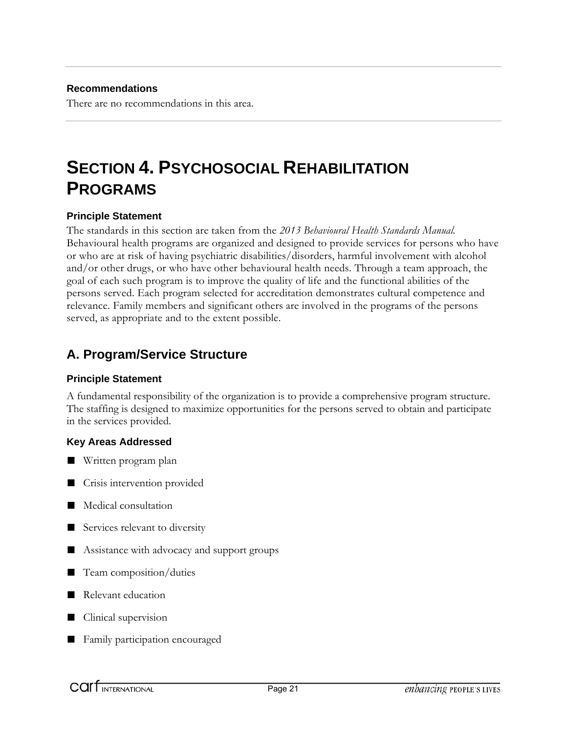There are no recommendations in this area.

# **SECTION 4. PSYCHOSOCIAL REHABILITATION PROGRAMS**

#### **Principle Statement**

The standards in this section are taken from the *2013 Behavioural Health Standards Manual.* Behavioural health programs are organized and designed to provide services for persons who have or who are at risk of having psychiatric disabilities/disorders, harmful involvement with alcohol and/or other drugs, or who have other behavioural health needs. Through a team approach, the goal of each such program is to improve the quality of life and the functional abilities of the persons served. Each program selected for accreditation demonstrates cultural competence and relevance. Family members and significant others are involved in the programs of the persons served, as appropriate and to the extent possible.

## **A. Program/Service Structure**

#### **Principle Statement**

A fundamental responsibility of the organization is to provide a comprehensive program structure. The staffing is designed to maximize opportunities for the persons served to obtain and participate in the services provided.

#### **Key Areas Addressed**

- Written program plan
- Crisis intervention provided
- Medical consultation
- Services relevant to diversity
- Assistance with advocacy and support groups
- Team composition/duties
- Relevant education
- Clinical supervision
- Family participation encouraged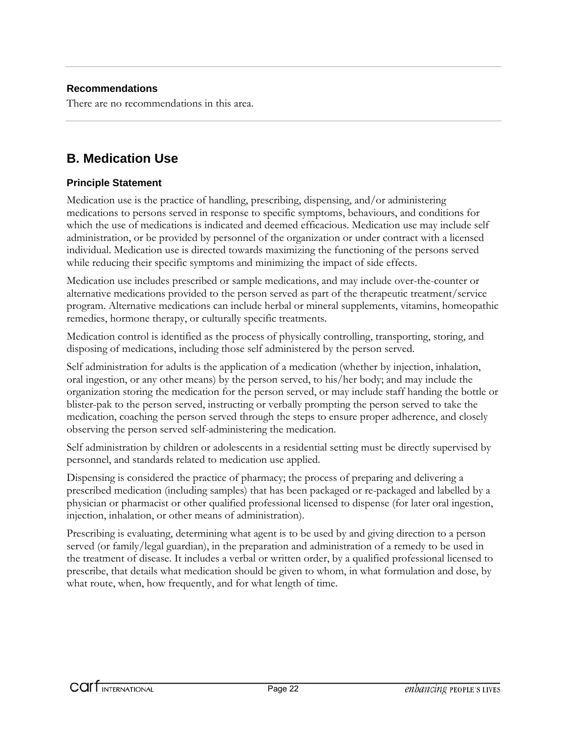There are no recommendations in this area.

## **B. Medication Use**

#### **Principle Statement**

Medication use is the practice of handling, prescribing, dispensing, and/or administering medications to persons served in response to specific symptoms, behaviours, and conditions for which the use of medications is indicated and deemed efficacious. Medication use may include self administration, or be provided by personnel of the organization or under contract with a licensed individual. Medication use is directed towards maximizing the functioning of the persons served while reducing their specific symptoms and minimizing the impact of side effects.

Medication use includes prescribed or sample medications, and may include over-the-counter or alternative medications provided to the person served as part of the therapeutic treatment/service program. Alternative medications can include herbal or mineral supplements, vitamins, homeopathic remedies, hormone therapy, or culturally specific treatments.

Medication control is identified as the process of physically controlling, transporting, storing, and disposing of medications, including those self administered by the person served.

Self administration for adults is the application of a medication (whether by injection, inhalation, oral ingestion, or any other means) by the person served, to his/her body; and may include the organization storing the medication for the person served, or may include staff handing the bottle or blister-pak to the person served, instructing or verbally prompting the person served to take the medication, coaching the person served through the steps to ensure proper adherence, and closely observing the person served self-administering the medication.

Self administration by children or adolescents in a residential setting must be directly supervised by personnel, and standards related to medication use applied.

Dispensing is considered the practice of pharmacy; the process of preparing and delivering a prescribed medication (including samples) that has been packaged or re-packaged and labelled by a physician or pharmacist or other qualified professional licensed to dispense (for later oral ingestion, injection, inhalation, or other means of administration).

Prescribing is evaluating, determining what agent is to be used by and giving direction to a person served (or family/legal guardian), in the preparation and administration of a remedy to be used in the treatment of disease. It includes a verbal or written order, by a qualified professional licensed to prescribe, that details what medication should be given to whom, in what formulation and dose, by what route, when, how frequently, and for what length of time.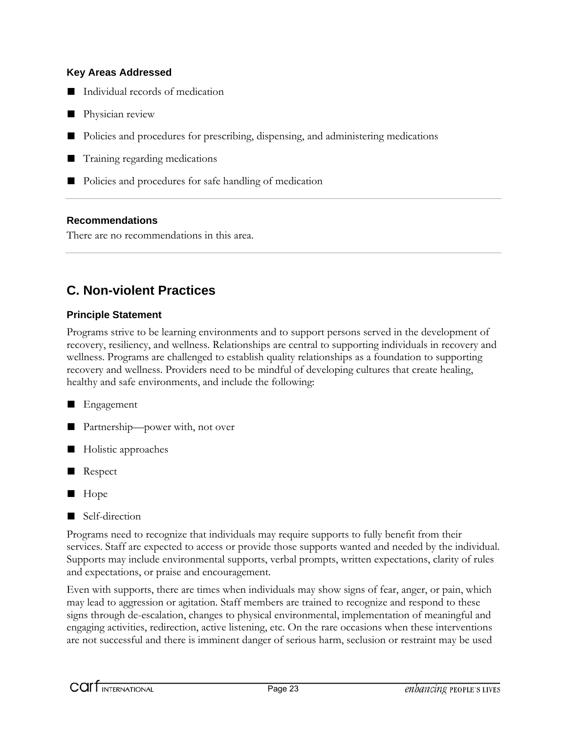#### **Key Areas Addressed**

- Individual records of medication
- Physician review
- Policies and procedures for prescribing, dispensing, and administering medications
- Training regarding medications
- Policies and procedures for safe handling of medication

#### **Recommendations**

There are no recommendations in this area.

## **C. Non-violent Practices**

#### **Principle Statement**

Programs strive to be learning environments and to support persons served in the development of recovery, resiliency, and wellness. Relationships are central to supporting individuals in recovery and wellness. Programs are challenged to establish quality relationships as a foundation to supporting recovery and wellness. Providers need to be mindful of developing cultures that create healing, healthy and safe environments, and include the following:

#### ■ Engagement

- Partnership—power with, not over
- Holistic approaches
- Respect
- Hope
- Self-direction

Programs need to recognize that individuals may require supports to fully benefit from their services. Staff are expected to access or provide those supports wanted and needed by the individual. Supports may include environmental supports, verbal prompts, written expectations, clarity of rules and expectations, or praise and encouragement.

Even with supports, there are times when individuals may show signs of fear, anger, or pain, which may lead to aggression or agitation. Staff members are trained to recognize and respond to these signs through de-escalation, changes to physical environmental, implementation of meaningful and engaging activities, redirection, active listening, etc. On the rare occasions when these interventions are not successful and there is imminent danger of serious harm, seclusion or restraint may be used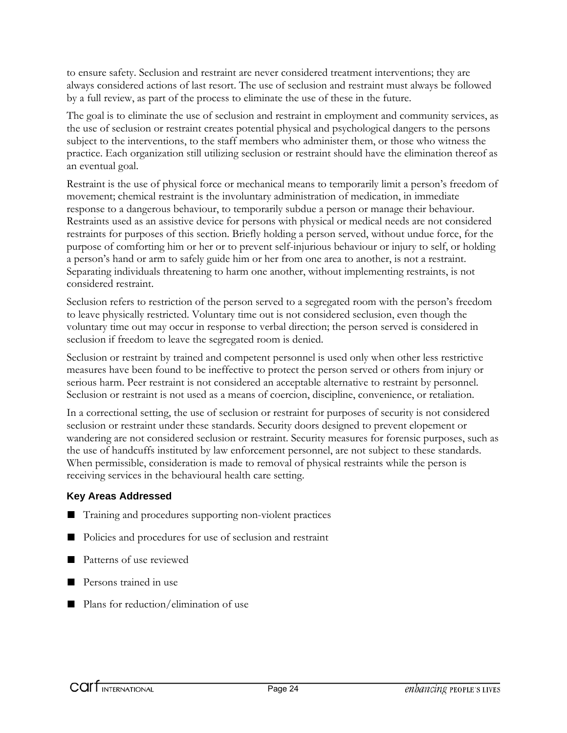to ensure safety. Seclusion and restraint are never considered treatment interventions; they are always considered actions of last resort. The use of seclusion and restraint must always be followed by a full review, as part of the process to eliminate the use of these in the future.

The goal is to eliminate the use of seclusion and restraint in employment and community services, as the use of seclusion or restraint creates potential physical and psychological dangers to the persons subject to the interventions, to the staff members who administer them, or those who witness the practice. Each organization still utilizing seclusion or restraint should have the elimination thereof as an eventual goal.

Restraint is the use of physical force or mechanical means to temporarily limit a person's freedom of movement; chemical restraint is the involuntary administration of medication, in immediate response to a dangerous behaviour, to temporarily subdue a person or manage their behaviour. Restraints used as an assistive device for persons with physical or medical needs are not considered restraints for purposes of this section. Briefly holding a person served, without undue force, for the purpose of comforting him or her or to prevent self-injurious behaviour or injury to self, or holding a person's hand or arm to safely guide him or her from one area to another, is not a restraint. Separating individuals threatening to harm one another, without implementing restraints, is not considered restraint.

Seclusion refers to restriction of the person served to a segregated room with the person's freedom to leave physically restricted. Voluntary time out is not considered seclusion, even though the voluntary time out may occur in response to verbal direction; the person served is considered in seclusion if freedom to leave the segregated room is denied.

Seclusion or restraint by trained and competent personnel is used only when other less restrictive measures have been found to be ineffective to protect the person served or others from injury or serious harm. Peer restraint is not considered an acceptable alternative to restraint by personnel. Seclusion or restraint is not used as a means of coercion, discipline, convenience, or retaliation.

In a correctional setting, the use of seclusion or restraint for purposes of security is not considered seclusion or restraint under these standards. Security doors designed to prevent elopement or wandering are not considered seclusion or restraint. Security measures for forensic purposes, such as the use of handcuffs instituted by law enforcement personnel, are not subject to these standards. When permissible, consideration is made to removal of physical restraints while the person is receiving services in the behavioural health care setting.

#### **Key Areas Addressed**

- Training and procedures supporting non-violent practices
- Policies and procedures for use of seclusion and restraint
- Patterns of use reviewed
- Persons trained in use
- Plans for reduction/elimination of use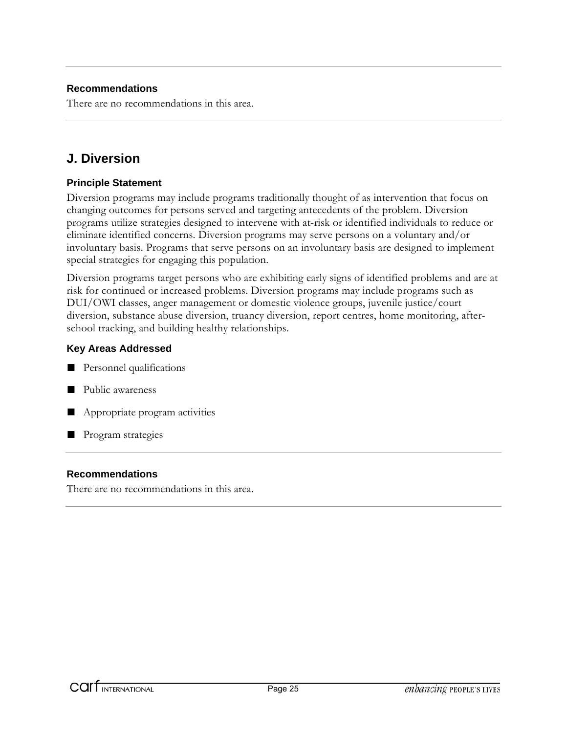There are no recommendations in this area.

## **J. Diversion**

#### **Principle Statement**

Diversion programs may include programs traditionally thought of as intervention that focus on changing outcomes for persons served and targeting antecedents of the problem. Diversion programs utilize strategies designed to intervene with at-risk or identified individuals to reduce or eliminate identified concerns. Diversion programs may serve persons on a voluntary and/or involuntary basis. Programs that serve persons on an involuntary basis are designed to implement special strategies for engaging this population.

Diversion programs target persons who are exhibiting early signs of identified problems and are at risk for continued or increased problems. Diversion programs may include programs such as DUI/OWI classes, anger management or domestic violence groups, juvenile justice/court diversion, substance abuse diversion, truancy diversion, report centres, home monitoring, afterschool tracking, and building healthy relationships.

#### **Key Areas Addressed**

- Personnel qualifications
- Public awareness
- Appropriate program activities
- Program strategies

#### **Recommendations**

There are no recommendations in this area.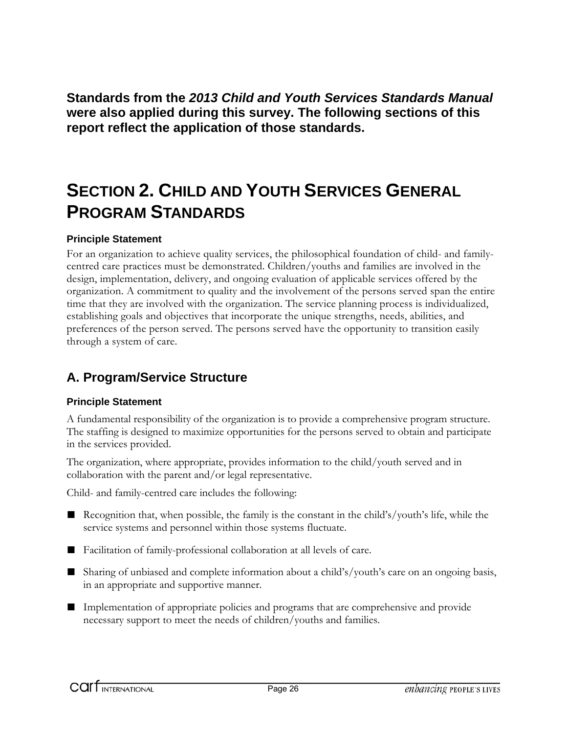**Standards from the** *2013 Child and Youth Services Standards Manual* **were also applied during this survey. The following sections of this report reflect the application of those standards.** 

# **SECTION 2. CHILD AND YOUTH SERVICES GENERAL PROGRAM STANDARDS**

#### **Principle Statement**

For an organization to achieve quality services, the philosophical foundation of child- and familycentred care practices must be demonstrated. Children/youths and families are involved in the design, implementation, delivery, and ongoing evaluation of applicable services offered by the organization. A commitment to quality and the involvement of the persons served span the entire time that they are involved with the organization. The service planning process is individualized, establishing goals and objectives that incorporate the unique strengths, needs, abilities, and preferences of the person served. The persons served have the opportunity to transition easily through a system of care.

## **A. Program/Service Structure**

#### **Principle Statement**

A fundamental responsibility of the organization is to provide a comprehensive program structure. The staffing is designed to maximize opportunities for the persons served to obtain and participate in the services provided.

The organization, where appropriate, provides information to the child/youth served and in collaboration with the parent and/or legal representative.

Child- and family-centred care includes the following:

- Recognition that, when possible, the family is the constant in the child's/youth's life, while the service systems and personnel within those systems fluctuate.
- Facilitation of family-professional collaboration at all levels of care.
- Sharing of unbiased and complete information about a child's/youth's care on an ongoing basis, in an appropriate and supportive manner.
- Implementation of appropriate policies and programs that are comprehensive and provide necessary support to meet the needs of children/youths and families.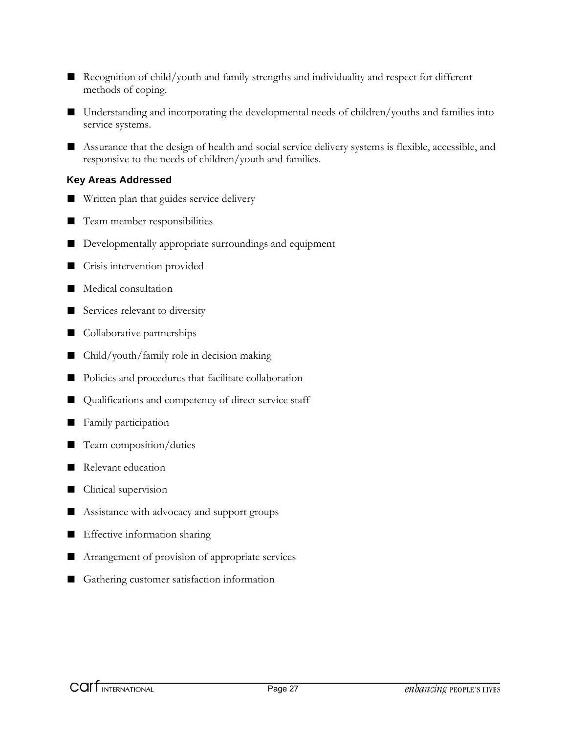- Recognition of child/youth and family strengths and individuality and respect for different methods of coping.
- Understanding and incorporating the developmental needs of children/youths and families into service systems.
- Assurance that the design of health and social service delivery systems is flexible, accessible, and responsive to the needs of children/youth and families.

#### **Key Areas Addressed**

- Written plan that guides service delivery
- Team member responsibilities
- Developmentally appropriate surroundings and equipment
- Crisis intervention provided
- Medical consultation
- Services relevant to diversity
- Collaborative partnerships
- Child/youth/family role in decision making
- Policies and procedures that facilitate collaboration
- Qualifications and competency of direct service staff
- Family participation
- Team composition/duties
- Relevant education
- Clinical supervision
- Assistance with advocacy and support groups
- Effective information sharing
- Arrangement of provision of appropriate services
- Gathering customer satisfaction information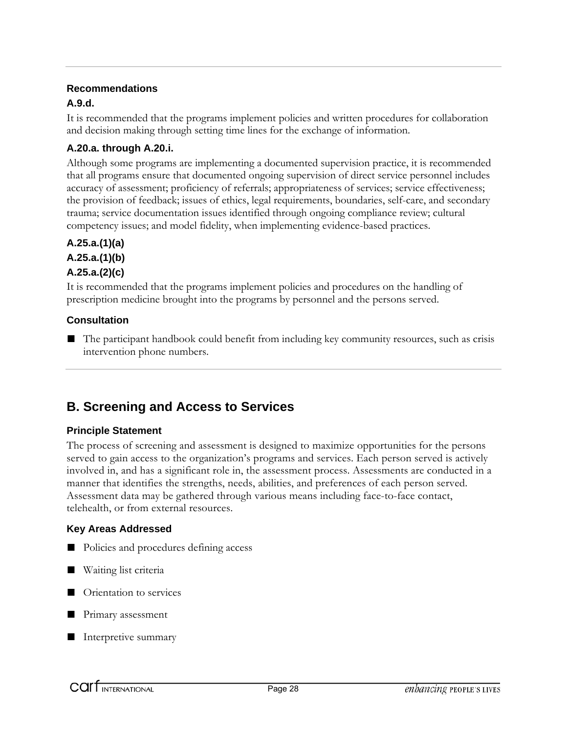#### **A.9.d.**

It is recommended that the programs implement policies and written procedures for collaboration and decision making through setting time lines for the exchange of information.

#### **A.20.a. through A.20.i.**

Although some programs are implementing a documented supervision practice, it is recommended that all programs ensure that documented ongoing supervision of direct service personnel includes accuracy of assessment; proficiency of referrals; appropriateness of services; service effectiveness; the provision of feedback; issues of ethics, legal requirements, boundaries, self-care, and secondary trauma; service documentation issues identified through ongoing compliance review; cultural competency issues; and model fidelity, when implementing evidence-based practices.

#### **A.25.a.(1)(a)**

**A.25.a.(1)(b)** 

#### **A.25.a.(2)(c)**

It is recommended that the programs implement policies and procedures on the handling of prescription medicine brought into the programs by personnel and the persons served.

#### **Consultation**

■ The participant handbook could benefit from including key community resources, such as crisis intervention phone numbers.

## **B. Screening and Access to Services**

#### **Principle Statement**

The process of screening and assessment is designed to maximize opportunities for the persons served to gain access to the organization's programs and services. Each person served is actively involved in, and has a significant role in, the assessment process. Assessments are conducted in a manner that identifies the strengths, needs, abilities, and preferences of each person served. Assessment data may be gathered through various means including face-to-face contact, telehealth, or from external resources.

#### **Key Areas Addressed**

- Policies and procedures defining access
- Waiting list criteria
- Orientation to services
- Primary assessment
- Interpretive summary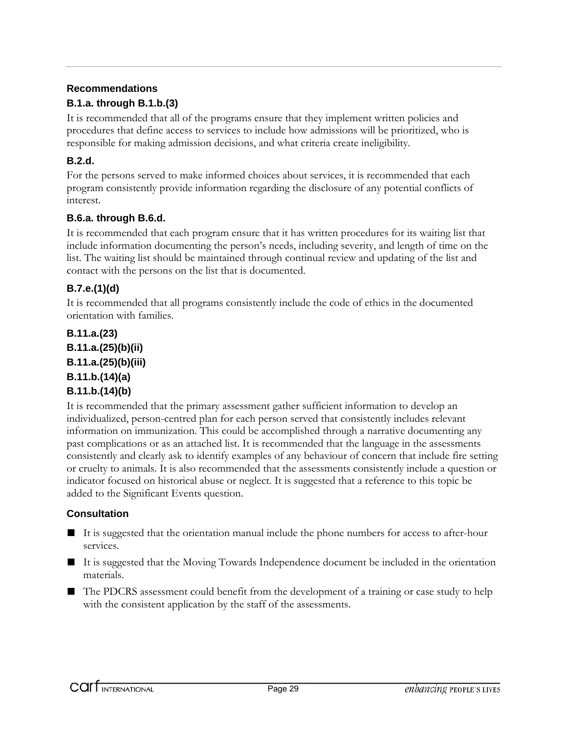#### **B.1.a. through B.1.b.(3)**

It is recommended that all of the programs ensure that they implement written policies and procedures that define access to services to include how admissions will be prioritized, who is responsible for making admission decisions, and what criteria create ineligibility.

#### **B.2.d.**

For the persons served to make informed choices about services, it is recommended that each program consistently provide information regarding the disclosure of any potential conflicts of interest.

#### **B.6.a. through B.6.d.**

It is recommended that each program ensure that it has written procedures for its waiting list that include information documenting the person's needs, including severity, and length of time on the list. The waiting list should be maintained through continual review and updating of the list and contact with the persons on the list that is documented.

#### **B.7.e.(1)(d)**

It is recommended that all programs consistently include the code of ethics in the documented orientation with families.

#### **B.11.a.(23) B.11.a.(25)(b)(ii) B.11.a.(25)(b)(iii) B.11.b.(14)(a) B.11.b.(14)(b)**

It is recommended that the primary assessment gather sufficient information to develop an individualized, person-centred plan for each person served that consistently includes relevant information on immunization. This could be accomplished through a narrative documenting any past complications or as an attached list. It is recommended that the language in the assessments consistently and clearly ask to identify examples of any behaviour of concern that include fire setting or cruelty to animals. It is also recommended that the assessments consistently include a question or indicator focused on historical abuse or neglect. It is suggested that a reference to this topic be added to the Significant Events question.

#### **Consultation**

- It is suggested that the orientation manual include the phone numbers for access to after-hour services.
- It is suggested that the Moving Towards Independence document be included in the orientation materials.
- The PDCRS assessment could benefit from the development of a training or case study to help with the consistent application by the staff of the assessments.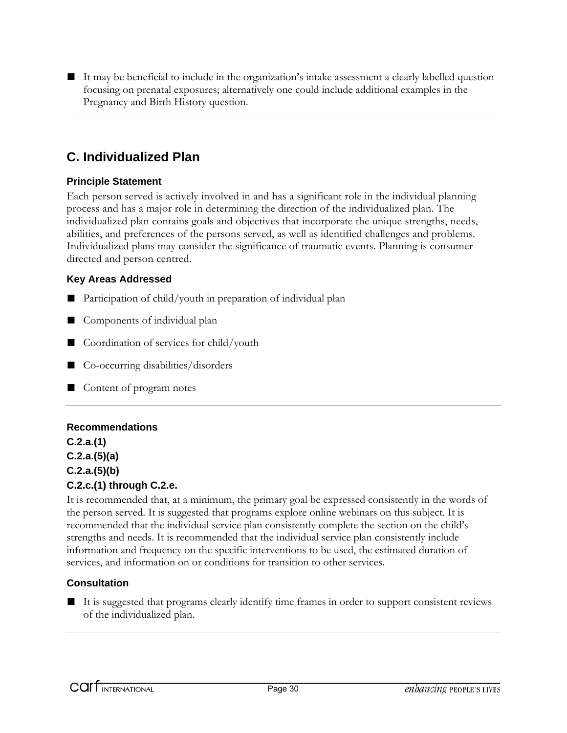■ It may be beneficial to include in the organization's intake assessment a clearly labelled question focusing on prenatal exposures; alternatively one could include additional examples in the Pregnancy and Birth History question.

## **C. Individualized Plan**

#### **Principle Statement**

Each person served is actively involved in and has a significant role in the individual planning process and has a major role in determining the direction of the individualized plan. The individualized plan contains goals and objectives that incorporate the unique strengths, needs, abilities, and preferences of the persons served, as well as identified challenges and problems. Individualized plans may consider the significance of traumatic events. Planning is consumer directed and person centred.

#### **Key Areas Addressed**

- Participation of child/youth in preparation of individual plan
- Components of individual plan
- Coordination of services for child/youth
- Co-occurring disabilities/disorders
- Content of program notes

#### **Recommendations**

**C.2.a.(1) C.2.a.(5)(a) C.2.a.(5)(b) C.2.c.(1) through C.2.e.** 

It is recommended that, at a minimum, the primary goal be expressed consistently in the words of the person served. It is suggested that programs explore online webinars on this subject. It is recommended that the individual service plan consistently complete the section on the child's strengths and needs. It is recommended that the individual service plan consistently include information and frequency on the specific interventions to be used, the estimated duration of services, and information on or conditions for transition to other services.

#### **Consultation**

■ It is suggested that programs clearly identify time frames in order to support consistent reviews of the individualized plan.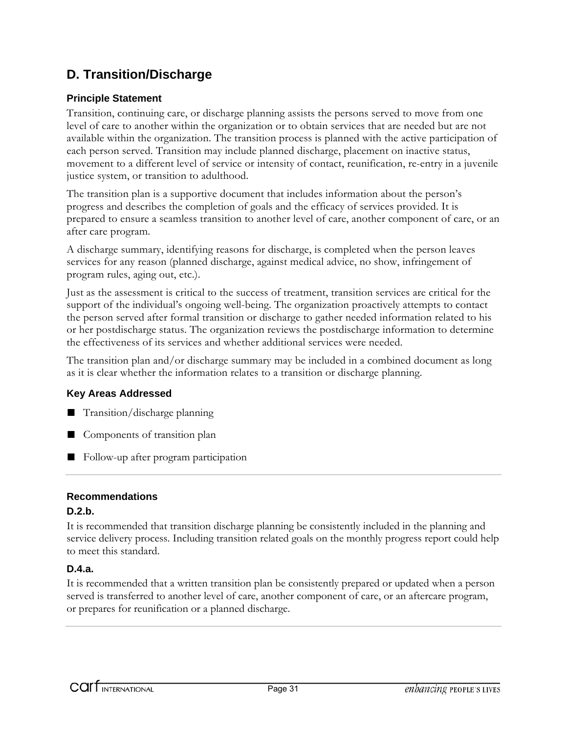## **D. Transition/Discharge**

#### **Principle Statement**

Transition, continuing care, or discharge planning assists the persons served to move from one level of care to another within the organization or to obtain services that are needed but are not available within the organization. The transition process is planned with the active participation of each person served. Transition may include planned discharge, placement on inactive status, movement to a different level of service or intensity of contact, reunification, re-entry in a juvenile justice system, or transition to adulthood.

The transition plan is a supportive document that includes information about the person's progress and describes the completion of goals and the efficacy of services provided. It is prepared to ensure a seamless transition to another level of care, another component of care, or an after care program.

A discharge summary, identifying reasons for discharge, is completed when the person leaves services for any reason (planned discharge, against medical advice, no show, infringement of program rules, aging out, etc.).

Just as the assessment is critical to the success of treatment, transition services are critical for the support of the individual's ongoing well-being. The organization proactively attempts to contact the person served after formal transition or discharge to gather needed information related to his or her postdischarge status. The organization reviews the postdischarge information to determine the effectiveness of its services and whether additional services were needed.

The transition plan and/or discharge summary may be included in a combined document as long as it is clear whether the information relates to a transition or discharge planning.

#### **Key Areas Addressed**

- Transition/discharge planning
- Components of transition plan
- Follow-up after program participation

#### **Recommendations**

#### **D.2.b.**

It is recommended that transition discharge planning be consistently included in the planning and service delivery process. Including transition related goals on the monthly progress report could help to meet this standard.

#### **D.4.a.**

It is recommended that a written transition plan be consistently prepared or updated when a person served is transferred to another level of care, another component of care, or an aftercare program, or prepares for reunification or a planned discharge.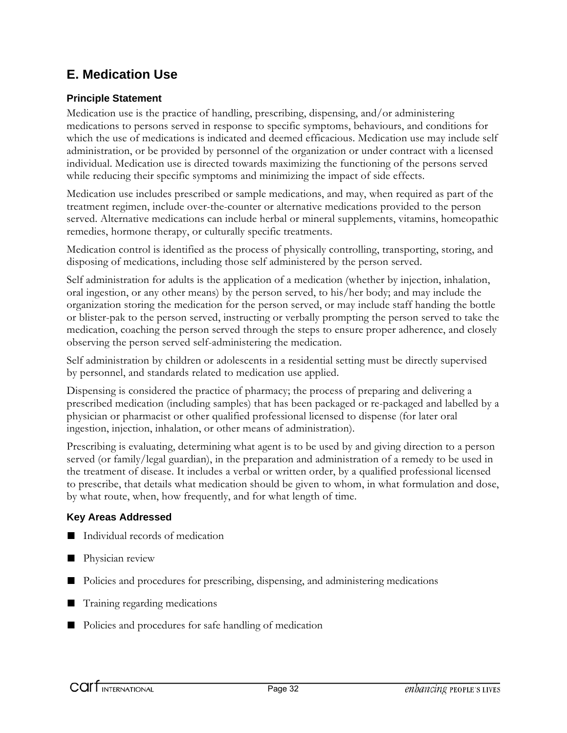## **E. Medication Use**

#### **Principle Statement**

Medication use is the practice of handling, prescribing, dispensing, and/or administering medications to persons served in response to specific symptoms, behaviours, and conditions for which the use of medications is indicated and deemed efficacious. Medication use may include self administration, or be provided by personnel of the organization or under contract with a licensed individual. Medication use is directed towards maximizing the functioning of the persons served while reducing their specific symptoms and minimizing the impact of side effects.

Medication use includes prescribed or sample medications, and may, when required as part of the treatment regimen, include over-the-counter or alternative medications provided to the person served. Alternative medications can include herbal or mineral supplements, vitamins, homeopathic remedies, hormone therapy, or culturally specific treatments.

Medication control is identified as the process of physically controlling, transporting, storing, and disposing of medications, including those self administered by the person served.

Self administration for adults is the application of a medication (whether by injection, inhalation, oral ingestion, or any other means) by the person served, to his/her body; and may include the organization storing the medication for the person served, or may include staff handing the bottle or blister-pak to the person served, instructing or verbally prompting the person served to take the medication, coaching the person served through the steps to ensure proper adherence, and closely observing the person served self-administering the medication.

Self administration by children or adolescents in a residential setting must be directly supervised by personnel, and standards related to medication use applied.

Dispensing is considered the practice of pharmacy; the process of preparing and delivering a prescribed medication (including samples) that has been packaged or re-packaged and labelled by a physician or pharmacist or other qualified professional licensed to dispense (for later oral ingestion, injection, inhalation, or other means of administration).

Prescribing is evaluating, determining what agent is to be used by and giving direction to a person served (or family/legal guardian), in the preparation and administration of a remedy to be used in the treatment of disease. It includes a verbal or written order, by a qualified professional licensed to prescribe, that details what medication should be given to whom, in what formulation and dose, by what route, when, how frequently, and for what length of time.

#### **Key Areas Addressed**

- Individual records of medication
- Physician review
- Policies and procedures for prescribing, dispensing, and administering medications
- Training regarding medications
- Policies and procedures for safe handling of medication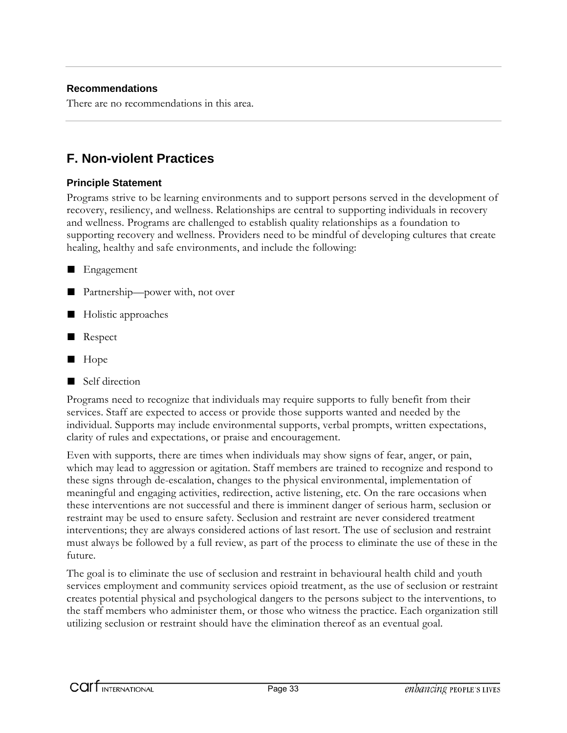There are no recommendations in this area.

## **F. Non-violent Practices**

#### **Principle Statement**

Programs strive to be learning environments and to support persons served in the development of recovery, resiliency, and wellness. Relationships are central to supporting individuals in recovery and wellness. Programs are challenged to establish quality relationships as a foundation to supporting recovery and wellness. Providers need to be mindful of developing cultures that create healing, healthy and safe environments, and include the following:

- **Engagement**
- Partnership—power with, not over
- Holistic approaches
- Respect
- Hope
- Self direction

Programs need to recognize that individuals may require supports to fully benefit from their services. Staff are expected to access or provide those supports wanted and needed by the individual. Supports may include environmental supports, verbal prompts, written expectations, clarity of rules and expectations, or praise and encouragement.

Even with supports, there are times when individuals may show signs of fear, anger, or pain, which may lead to aggression or agitation. Staff members are trained to recognize and respond to these signs through de-escalation, changes to the physical environmental, implementation of meaningful and engaging activities, redirection, active listening, etc. On the rare occasions when these interventions are not successful and there is imminent danger of serious harm, seclusion or restraint may be used to ensure safety. Seclusion and restraint are never considered treatment interventions; they are always considered actions of last resort. The use of seclusion and restraint must always be followed by a full review, as part of the process to eliminate the use of these in the future.

The goal is to eliminate the use of seclusion and restraint in behavioural health child and youth services employment and community services opioid treatment, as the use of seclusion or restraint creates potential physical and psychological dangers to the persons subject to the interventions, to the staff members who administer them, or those who witness the practice. Each organization still utilizing seclusion or restraint should have the elimination thereof as an eventual goal.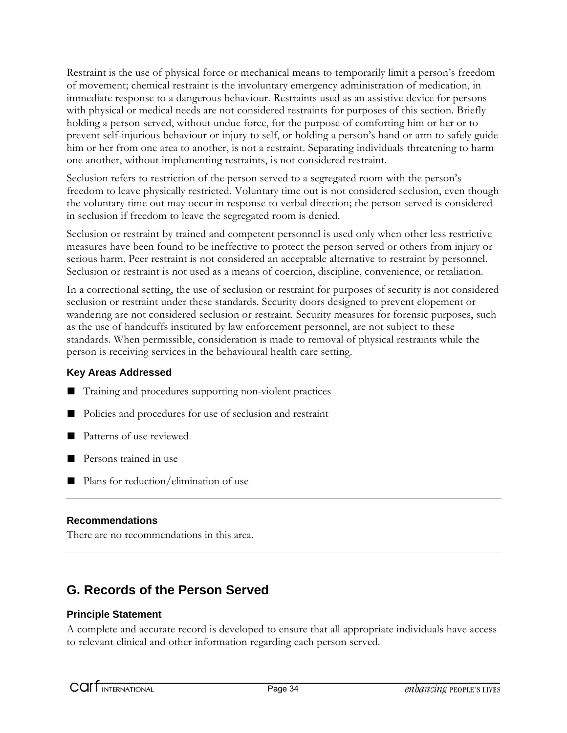Restraint is the use of physical force or mechanical means to temporarily limit a person's freedom of movement; chemical restraint is the involuntary emergency administration of medication, in immediate response to a dangerous behaviour. Restraints used as an assistive device for persons with physical or medical needs are not considered restraints for purposes of this section. Briefly holding a person served, without undue force, for the purpose of comforting him or her or to prevent self-injurious behaviour or injury to self, or holding a person's hand or arm to safely guide him or her from one area to another, is not a restraint. Separating individuals threatening to harm one another, without implementing restraints, is not considered restraint.

Seclusion refers to restriction of the person served to a segregated room with the person's freedom to leave physically restricted. Voluntary time out is not considered seclusion, even though the voluntary time out may occur in response to verbal direction; the person served is considered in seclusion if freedom to leave the segregated room is denied.

Seclusion or restraint by trained and competent personnel is used only when other less restrictive measures have been found to be ineffective to protect the person served or others from injury or serious harm. Peer restraint is not considered an acceptable alternative to restraint by personnel. Seclusion or restraint is not used as a means of coercion, discipline, convenience, or retaliation.

In a correctional setting, the use of seclusion or restraint for purposes of security is not considered seclusion or restraint under these standards. Security doors designed to prevent elopement or wandering are not considered seclusion or restraint. Security measures for forensic purposes, such as the use of handcuffs instituted by law enforcement personnel, are not subject to these standards. When permissible, consideration is made to removal of physical restraints while the person is receiving services in the behavioural health care setting.

#### **Key Areas Addressed**

- Training and procedures supporting non-violent practices
- Policies and procedures for use of seclusion and restraint
- Patterns of use reviewed
- Persons trained in use
- Plans for reduction/elimination of use

#### **Recommendations**

There are no recommendations in this area.

## **G. Records of the Person Served**

#### **Principle Statement**

A complete and accurate record is developed to ensure that all appropriate individuals have access to relevant clinical and other information regarding each person served.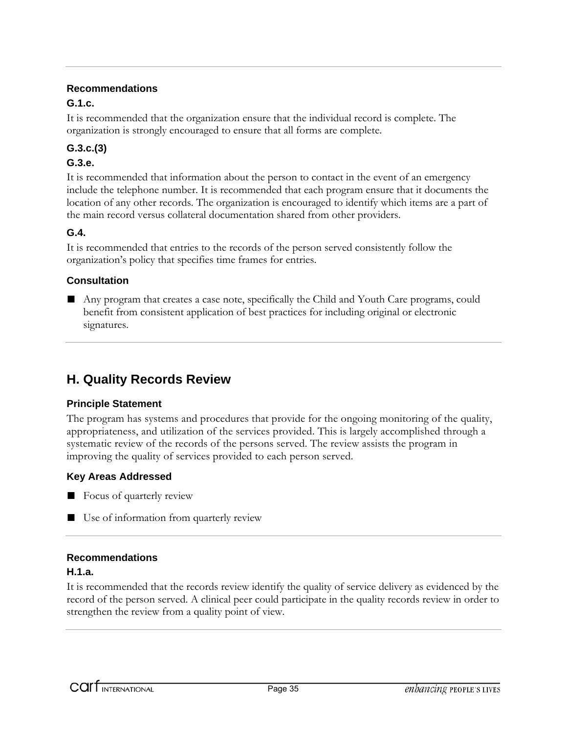#### **G.1.c.**

It is recommended that the organization ensure that the individual record is complete. The organization is strongly encouraged to ensure that all forms are complete.

#### **G.3.c.(3)**

#### **G.3.e.**

It is recommended that information about the person to contact in the event of an emergency include the telephone number. It is recommended that each program ensure that it documents the location of any other records. The organization is encouraged to identify which items are a part of the main record versus collateral documentation shared from other providers.

#### **G.4.**

It is recommended that entries to the records of the person served consistently follow the organization's policy that specifies time frames for entries.

#### **Consultation**

■ Any program that creates a case note, specifically the Child and Youth Care programs, could benefit from consistent application of best practices for including original or electronic signatures.

## **H. Quality Records Review**

#### **Principle Statement**

The program has systems and procedures that provide for the ongoing monitoring of the quality, appropriateness, and utilization of the services provided. This is largely accomplished through a systematic review of the records of the persons served. The review assists the program in improving the quality of services provided to each person served.

#### **Key Areas Addressed**

- Focus of quarterly review
- Use of information from quarterly review

#### **Recommendations**

#### **H.1.a.**

It is recommended that the records review identify the quality of service delivery as evidenced by the record of the person served. A clinical peer could participate in the quality records review in order to strengthen the review from a quality point of view.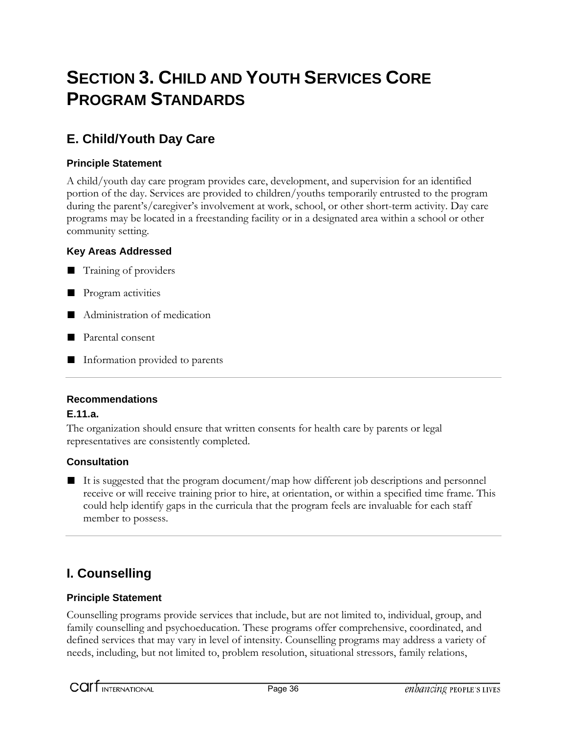# **SECTION 3. CHILD AND YOUTH SERVICES CORE PROGRAM STANDARDS**

## **E. Child/Youth Day Care**

#### **Principle Statement**

A child/youth day care program provides care, development, and supervision for an identified portion of the day. Services are provided to children/youths temporarily entrusted to the program during the parent's/caregiver's involvement at work, school, or other short-term activity. Day care programs may be located in a freestanding facility or in a designated area within a school or other community setting.

#### **Key Areas Addressed**

■ Training of providers

- Program activities
- Administration of medication
- Parental consent
- Information provided to parents

#### **Recommendations**

#### **E.11.a.**

The organization should ensure that written consents for health care by parents or legal representatives are consistently completed.

#### **Consultation**

■ It is suggested that the program document/map how different job descriptions and personnel receive or will receive training prior to hire, at orientation, or within a specified time frame. This could help identify gaps in the curricula that the program feels are invaluable for each staff member to possess.

## **I. Counselling**

#### **Principle Statement**

Counselling programs provide services that include, but are not limited to, individual, group, and family counselling and psychoeducation. These programs offer comprehensive, coordinated, and defined services that may vary in level of intensity. Counselling programs may address a variety of needs, including, but not limited to, problem resolution, situational stressors, family relations,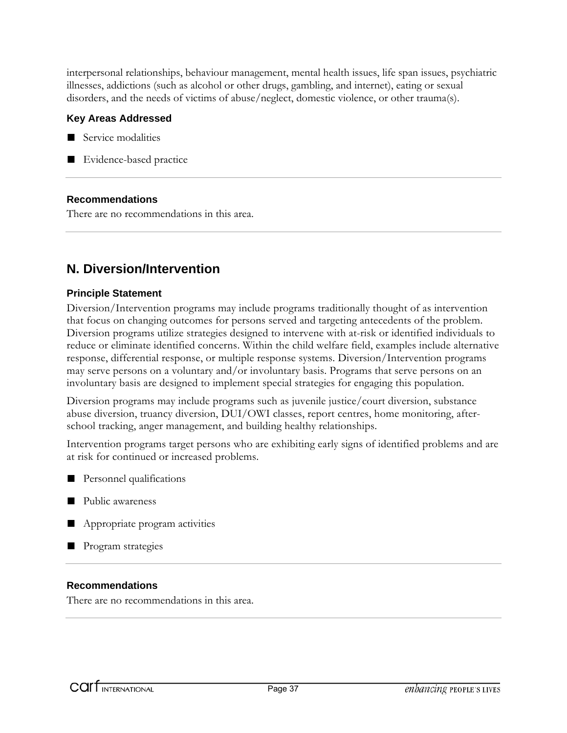interpersonal relationships, behaviour management, mental health issues, life span issues, psychiatric illnesses, addictions (such as alcohol or other drugs, gambling, and internet), eating or sexual disorders, and the needs of victims of abuse/neglect, domestic violence, or other trauma(s).

#### **Key Areas Addressed**



■ Evidence-based practice

#### **Recommendations**

There are no recommendations in this area.

## **N. Diversion/Intervention**

#### **Principle Statement**

Diversion/Intervention programs may include programs traditionally thought of as intervention that focus on changing outcomes for persons served and targeting antecedents of the problem. Diversion programs utilize strategies designed to intervene with at-risk or identified individuals to reduce or eliminate identified concerns. Within the child welfare field, examples include alternative response, differential response, or multiple response systems. Diversion/Intervention programs may serve persons on a voluntary and/or involuntary basis. Programs that serve persons on an involuntary basis are designed to implement special strategies for engaging this population.

Diversion programs may include programs such as juvenile justice/court diversion, substance abuse diversion, truancy diversion, DUI/OWI classes, report centres, home monitoring, afterschool tracking, anger management, and building healthy relationships.

Intervention programs target persons who are exhibiting early signs of identified problems and are at risk for continued or increased problems.

- Personnel qualifications
- Public awareness
- Appropriate program activities
- Program strategies

#### **Recommendations**

There are no recommendations in this area.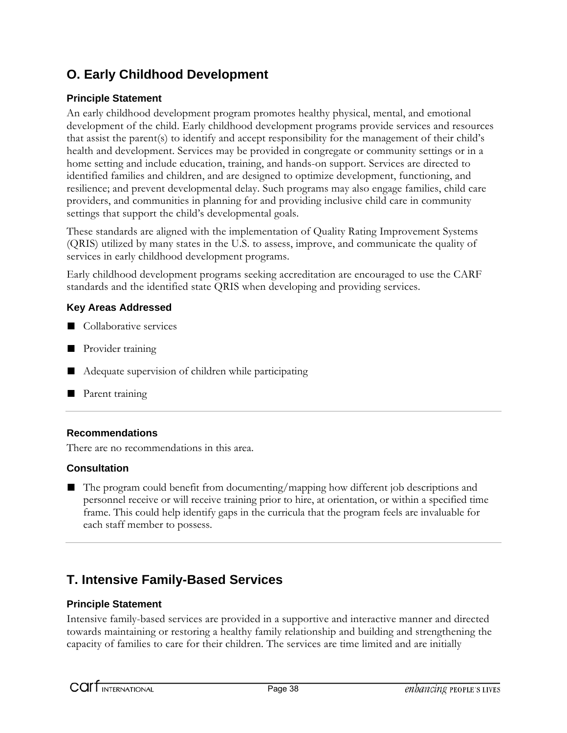## **O. Early Childhood Development**

#### **Principle Statement**

An early childhood development program promotes healthy physical, mental, and emotional development of the child. Early childhood development programs provide services and resources that assist the parent(s) to identify and accept responsibility for the management of their child's health and development. Services may be provided in congregate or community settings or in a home setting and include education, training, and hands-on support. Services are directed to identified families and children, and are designed to optimize development, functioning, and resilience; and prevent developmental delay. Such programs may also engage families, child care providers, and communities in planning for and providing inclusive child care in community settings that support the child's developmental goals.

These standards are aligned with the implementation of Quality Rating Improvement Systems (QRIS) utilized by many states in the U.S. to assess, improve, and communicate the quality of services in early childhood development programs.

Early childhood development programs seeking accreditation are encouraged to use the CARF standards and the identified state QRIS when developing and providing services.

#### **Key Areas Addressed**

- Collaborative services
- Provider training
- Adequate supervision of children while participating
- Parent training

#### **Recommendations**

There are no recommendations in this area.

#### **Consultation**

■ The program could benefit from documenting/mapping how different job descriptions and personnel receive or will receive training prior to hire, at orientation, or within a specified time frame. This could help identify gaps in the curricula that the program feels are invaluable for each staff member to possess.

## **T. Intensive Family-Based Services**

#### **Principle Statement**

Intensive family-based services are provided in a supportive and interactive manner and directed towards maintaining or restoring a healthy family relationship and building and strengthening the capacity of families to care for their children. The services are time limited and are initially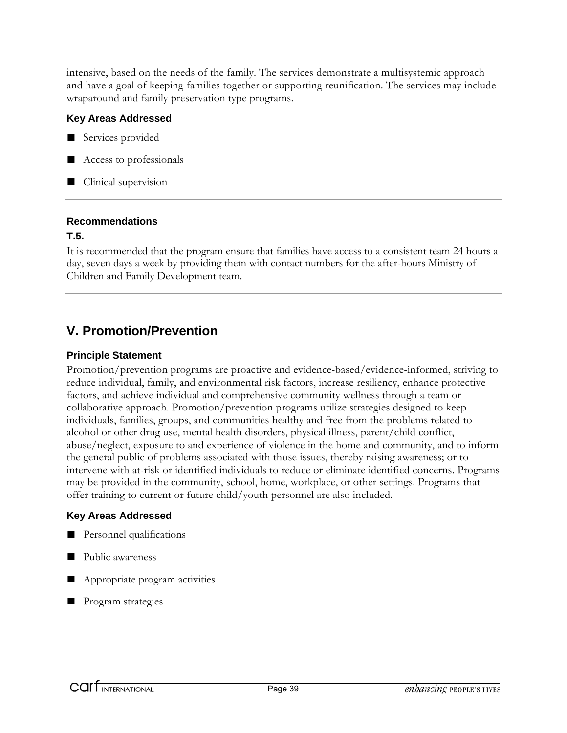intensive, based on the needs of the family. The services demonstrate a multisystemic approach and have a goal of keeping families together or supporting reunification. The services may include wraparound and family preservation type programs.

#### **Key Areas Addressed**

- Services provided
- Access to professionals
- Clinical supervision

#### **Recommendations**

#### **T.5.**

It is recommended that the program ensure that families have access to a consistent team 24 hours a day, seven days a week by providing them with contact numbers for the after-hours Ministry of Children and Family Development team.

## **V. Promotion/Prevention**

#### **Principle Statement**

Promotion/prevention programs are proactive and evidence-based/evidence-informed, striving to reduce individual, family, and environmental risk factors, increase resiliency, enhance protective factors, and achieve individual and comprehensive community wellness through a team or collaborative approach. Promotion/prevention programs utilize strategies designed to keep individuals, families, groups, and communities healthy and free from the problems related to alcohol or other drug use, mental health disorders, physical illness, parent/child conflict, abuse/neglect, exposure to and experience of violence in the home and community, and to inform the general public of problems associated with those issues, thereby raising awareness; or to intervene with at-risk or identified individuals to reduce or eliminate identified concerns. Programs may be provided in the community, school, home, workplace, or other settings. Programs that offer training to current or future child/youth personnel are also included.

#### **Key Areas Addressed**

- Personnel qualifications
- Public awareness
- Appropriate program activities
- Program strategies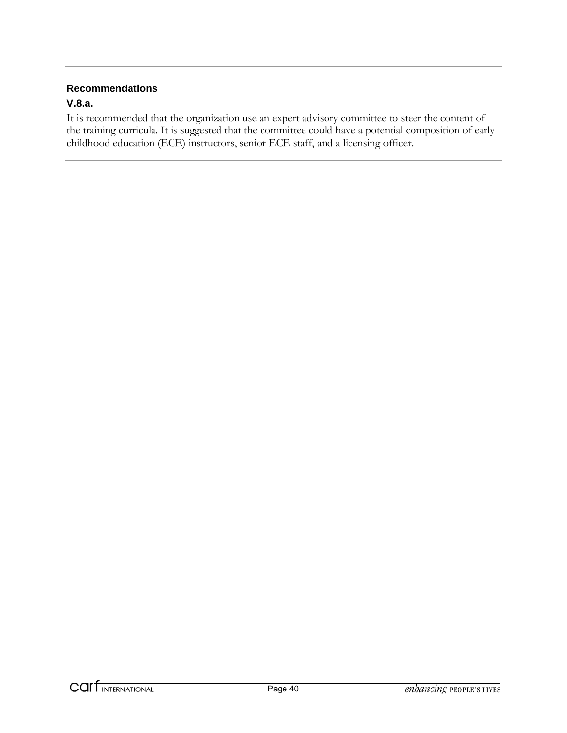#### **V.8.a.**

It is recommended that the organization use an expert advisory committee to steer the content of the training curricula. It is suggested that the committee could have a potential composition of early childhood education (ECE) instructors, senior ECE staff, and a licensing officer.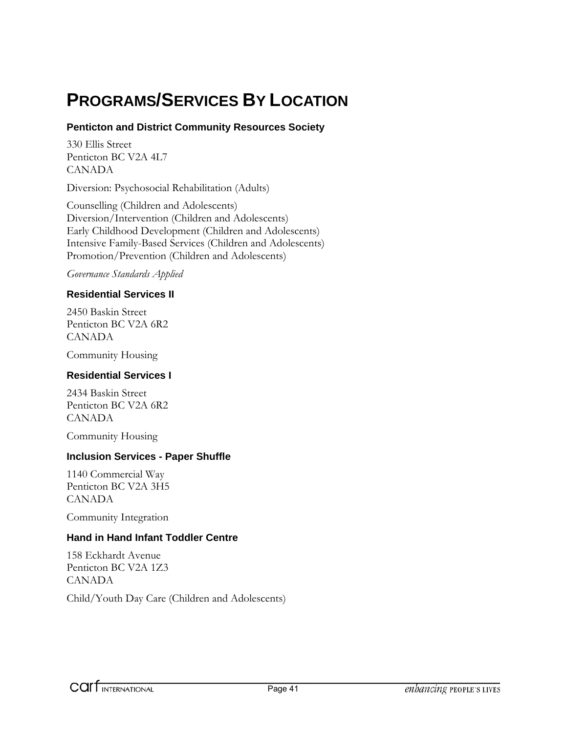# **PROGRAMS/SERVICES BY LOCATION**

#### **Penticton and District Community Resources Society**

330 Ellis Street Penticton BC V2A 4L7 CANADA

Diversion: Psychosocial Rehabilitation (Adults)

Counselling (Children and Adolescents) Diversion/Intervention (Children and Adolescents) Early Childhood Development (Children and Adolescents) Intensive Family-Based Services (Children and Adolescents) Promotion/Prevention (Children and Adolescents)

*Governance Standards Applied* 

#### **Residential Services II**

2450 Baskin Street Penticton BC V2A 6R2 CANADA

Community Housing

#### **Residential Services I**

2434 Baskin Street Penticton BC V2A 6R2 CANADA

Community Housing

#### **Inclusion Services - Paper Shuffle**

1140 Commercial Way Penticton BC V2A 3H5 CANADA

Community Integration

#### **Hand in Hand Infant Toddler Centre**

158 Eckhardt Avenue Penticton BC V2A 1Z3 CANADA

Child/Youth Day Care (Children and Adolescents)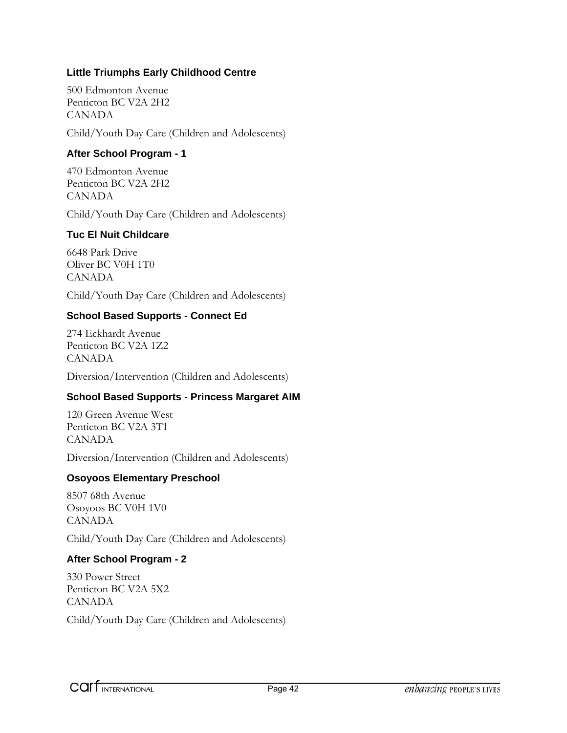#### **Little Triumphs Early Childhood Centre**

500 Edmonton Avenue Penticton BC V2A 2H2 CANADA

Child/Youth Day Care (Children and Adolescents)

#### **After School Program - 1**

470 Edmonton Avenue Penticton BC V2A 2H2 CANADA

Child/Youth Day Care (Children and Adolescents)

#### **Tuc El Nuit Childcare**

6648 Park Drive Oliver BC V0H 1T0 CANADA

Child/Youth Day Care (Children and Adolescents)

#### **School Based Supports - Connect Ed**

274 Eckhardt Avenue Penticton BC V2A 1Z2 CANADA

Diversion/Intervention (Children and Adolescents)

#### **School Based Supports - Princess Margaret AIM**

120 Green Avenue West Penticton BC V2A 3T1 CANADA

Diversion/Intervention (Children and Adolescents)

#### **Osoyoos Elementary Preschool**

8507 68th Avenue Osoyoos BC V0H 1V0 CANADA

Child/Youth Day Care (Children and Adolescents)

#### **After School Program - 2**

330 Power Street Penticton BC V2A 5X2 CANADA Child/Youth Day Care (Children and Adolescents)